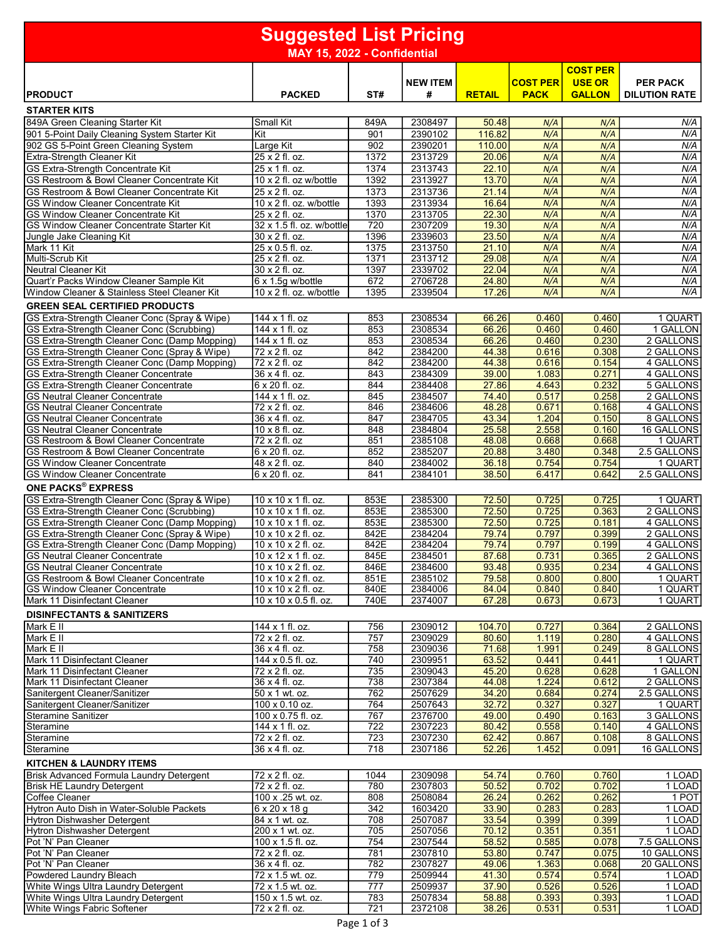| <b>COST PER</b><br><b>COST PER</b><br><b>USE OR</b><br><b>NEW ITEM</b><br><b>PER PACK</b><br>#<br><b>PRODUCT</b><br><b>PACKED</b><br>ST#<br><b>RETAIL</b><br><b>PACK</b><br><b>GALLON</b><br><b>DILUTION RATE</b><br><b>STARTER KITS</b><br>849A Green Cleaning Starter Kit<br><b>Small Kit</b><br>2308497<br>N/A<br>849A<br>50.48<br>N/A<br>N/A<br>116.82<br>N/A<br>901 5-Point Daily Cleaning System Starter Kit<br>901<br>2390102<br>N/A<br>Kit<br>N/A<br>N/A<br>902 GS 5-Point Green Cleaning System<br>Large Kit<br>902<br>2390201<br>110.00<br>N/A<br>N/A<br><b>Extra-Strength Cleaner Kit</b><br>25 x 2 fl. oz.<br>1372<br>2313729<br>20.06<br>N/A<br>N/A<br>N/A<br>N/A<br>GS Extra-Strength Concentrate Kit<br>1374<br>2313743<br>22.10<br>25 x 1 fl. oz.<br>N/A<br>N/A<br>N/A<br>1392<br>2313927<br>13.70<br>N/A<br>GS Restroom & Bowl Cleaner Concentrate Kit<br>$10 \times 2$ fl. oz w/bottle<br>N/A<br>1373<br>2313736<br>21.14<br>N/A<br>GS Restroom & Bowl Cleaner Concentrate Kit<br>25 x 2 fl. oz.<br>N/A<br>N/A<br>N/A<br>10 x 2 fl. oz. w/bottle<br>1393<br>2313934<br>16.64<br>N/A<br>N/A<br><b>GS Window Cleaner Concentrate Kit</b><br>N/A<br>1370<br>2313705<br>22.30<br>N/A<br><b>GS Window Cleaner Concentrate Kit</b><br>25 x 2 fl. oz.<br>N/A<br>N/A<br>2307209<br>19.30<br>32 x 1.5 fl. oz. w/bottle<br>720<br>N/A<br>GS Window Cleaner Concentrate Starter Kit<br>N/A<br>N/A<br>30 x 2 fl. oz.<br>1396<br>2339603<br>23.50<br>N/A<br>N/A<br>Jungle Jake Cleaning Kit<br>N/A<br>$25 \times 0.5$ fl. oz.<br>1375<br>2313750<br>21.10<br>N/A<br>Mark 11 Kit<br>N/A<br>Multi-Scrub Kit<br>2313712<br>29.08<br>N/A<br>25 x 2 fl. oz.<br>1371<br>N/A<br>N/A<br><b>Neutral Cleaner Kit</b><br>1397<br>2339702<br>22.04<br>N/A<br>30 x 2 fl. oz.<br>N/A<br>N/A<br>Quart'r Packs Window Cleaner Sample Kit<br>672<br>2706728<br>24.80<br>N/A<br>$6 \times 1.5$ g w/bottle<br>N/A<br>N/A<br>Window Cleaner & Stainless Steel Cleaner Kit<br>1395<br>N/A<br>10 x 2 fl. oz. w/bottle<br>2339504<br>17.26<br>N/A<br>N/A<br><b>GREEN SEAL CERTIFIED PRODUCTS</b><br>2308534<br>66.26<br>0.460<br>1 QUART<br>GS Extra-Strength Cleaner Conc (Spray & Wipe)<br>144 x 1 fl. oz<br>853<br>0.460<br>GS Extra-Strength Cleaner Conc (Scrubbing)<br>853<br>2308534<br>66.26<br>0.460<br>0.460<br>1 GALLON<br>144 x 1 fl. oz<br>2308534<br>66.26<br>0.230<br>2 GALLONS<br>GS Extra-Strength Cleaner Conc (Damp Mopping)<br>144 x 1 fl. oz<br>853<br>0.460<br>2 GALLONS<br>GS Extra-Strength Cleaner Conc (Spray & Wipe)<br>72 x 2 fl. oz<br>842<br>2384200<br>44.38<br>0.616<br>0.308<br>44.38<br>4 GALLONS<br>GS Extra-Strength Cleaner Conc (Damp Mopping)<br>72 x 2 fl. oz<br>842<br>2384200<br>0.616<br>0.154<br>843<br>2384309<br>39.00<br>1.083<br>0.271<br>4 GALLONS<br><b>GS Extra-Strength Cleaner Concentrate</b><br>36 x 4 fl. oz.<br>6 x 20 fl. oz.<br>844<br>2384408<br>27.86<br>4.643<br>0.232<br>5 GALLONS<br><b>GS Extra-Strength Cleaner Concentrate</b><br>2384507<br>74.40<br>0.517<br>0.258<br>2 GALLONS<br><b>GS Neutral Cleaner Concentrate</b><br>144 x 1 fl. oz.<br>845<br><b>GS Neutral Cleaner Concentrate</b><br>72 x 2 fl. oz.<br>846<br>2384606<br>48.28<br>0.671<br>4 GALLONS<br>0.168<br>2384705<br>43.34<br>1.204<br>0.150<br>8 GALLONS<br><b>GS Neutral Cleaner Concentrate</b><br>36 x 4 fl. oz.<br>847<br>25.58<br>2.558<br><b>GS Neutral Cleaner Concentrate</b><br>848<br>2384804<br>0.160<br>16 GALLONS<br>10 x 8 fl. oz.<br>48.08<br>0.668<br>GS Restroom & Bowl Cleaner Concentrate<br>72 x 2 fl. oz<br>851<br>2385108<br>0.668<br>1 QUART<br>2.5 GALLONS<br>6 x 20 fl. oz.<br>852<br>2385207<br>20.88<br>3.480<br>0.348<br>GS Restroom & Bowl Cleaner Concentrate<br>2384002<br>0.754<br>0.754<br><b>GS Window Cleaner Concentrate</b><br>48 x 2 fl. oz.<br>840<br>36.18<br>1 QUART<br>6 x 20 fl. oz.<br>841<br>2384101<br>38.50<br>6.417<br>0.642<br>2.5 GALLONS<br><b>GS Window Cleaner Concentrate</b><br><b>ONE PACKS® EXPRESS</b><br>GS Extra-Strength Cleaner Conc (Spray & Wipe)<br>10 x 10 x 1 fl. oz.<br>2385300<br>72.50<br>0.725<br>0.725<br>1 QUART<br>853E<br>GS Extra-Strength Cleaner Conc (Scrubbing)<br>2385300<br>72.50<br>0.725<br>0.363<br>2 GALLONS<br>10 x 10 x 1 fl. oz.<br>853E<br>GS Extra-Strength Cleaner Conc (Damp Mopping)<br>72.50<br>4 GALLONS<br>10 x 10 x 1 fl. oz.<br>853E<br>2385300<br>0.725<br>0.181<br>79.74<br>GS Extra-Strength Cleaner Conc (Spray & Wipe)<br>10 x 10 x 2 fl. oz.<br>842E<br>2384204<br>0.797<br>0.399<br>2 GALLONS<br>842E<br>79.74<br>4 GALLONS<br>GS Extra-Strength Cleaner Conc (Damp Mopping)<br>10 x 10 x 2 fl. oz.<br>2384204<br>0.797<br>0.199<br><b>GS Neutral Cleaner Concentrate</b><br>10 x 12 x 1 fl. oz.<br>845E<br>2384501<br>87.68<br>0.731<br>0.365<br>2 GALLONS<br>846E<br>2384600<br>93.48<br>0.935<br>0.234<br>4 GALLONS<br><b>GS Neutral Cleaner Concentrate</b><br>10 x 10 x 2 fl. oz.<br>GS Restroom & Bowl Cleaner Concentrate<br>10 x 10 x 2 fl. oz.<br>851E<br>2385102<br>79.58<br>0.800<br>0.800<br>1 QUART<br>1 QUART<br><b>GS Window Cleaner Concentrate</b><br>10 x 10 x 2 fl. oz.<br>840E<br>2384006<br>84.04<br>0.840<br>0.840<br>Mark 11 Disinfectant Cleaner<br>10 x 10 x 0.5 fl. oz.<br>740E<br>2374007<br>67.28<br>0.673<br>0.673<br>1 QUART<br><b>DISINFECTANTS &amp; SANITIZERS</b><br>Mark E II<br>144 x 1 fl. oz.<br>2 GALLONS<br>756<br>2309012<br>104.70<br>0.727<br>0.364<br>Mark E II<br>757<br>2309029<br>80.60<br>1.119<br>0.280<br>4 GALLONS<br>72 x 2 fl. oz.<br>Mark E II<br>36 x 4 fl. oz.<br>758<br>2309036<br>71.68<br>1.991<br>0.249<br>8 GALLONS<br>2309951<br>63.52<br>0.441<br>0.441<br>1 QUART<br>Mark 11 Disinfectant Cleaner<br>144 x 0.5 fl. oz.<br>740<br>72 x 2 fl. oz.<br>735<br>2309043<br>45.20<br>0.628<br>0.628<br>1 GALLON<br>Mark 11 Disinfectant Cleaner<br>738<br>2307384<br>1.224<br>2 GALLONS<br>Mark 11 Disinfectant Cleaner<br>36 x 4 fl. oz.<br>44.08<br>0.612<br>50 x 1 wt. oz.<br>762<br>2507629<br>34.20<br>0.684<br>0.274<br>2.5 GALLONS<br>Sanitergent Cleaner/Sanitizer<br>Sanitergent Cleaner/Sanitizer<br>100 x 0.10 oz.<br>764<br>2507643<br>32.72<br>0.327<br>0.327<br>1 QUART<br>100 x 0.75 fl. oz.<br>767<br>2376700<br>0.490<br>3 GALLONS<br><b>Steramine Sanitizer</b><br>49.00<br>0.163<br>722<br>2307223<br>0.558<br>4 GALLONS<br>Steramine<br>144 x 1 fl. oz.<br>80.42<br>0.140<br>72 x 2 fl. oz.<br>723<br>2307230<br>62.42<br>0.108<br>8 GALLONS<br>0.867<br>Steramine<br>718<br>2307186<br>16 GALLONS<br>Steramine<br>36 x 4 fl. oz.<br>52.26<br>1.452<br>0.091<br><b>KITCHEN &amp; LAUNDRY ITEMS</b><br>Brisk Advanced Formula Laundry Detergent<br>72 x 2 fl. oz.<br>2309098<br>1044<br>54.74<br>0.760<br>0.760<br>1 LOAD<br>72 x 2 fl. oz.<br>2307803<br>50.52<br>0.702<br>0.702<br>1 LOAD<br><b>Brisk HE Laundry Detergent</b><br>780<br>2508084<br>26.24<br>0.262<br>1 POT<br><b>Coffee Cleaner</b><br>100 x .25 wt. oz.<br>808<br>0.262<br>Hytron Auto Dish in Water-Soluble Packets<br>342<br>1603420<br>0.283<br>$6 \times 20 \times 18$ g<br>33.90<br>0.283<br>1 LOAD<br>708<br>2507087<br>33.54<br>0.399<br>Hytron Dishwasher Detergent<br>84 x 1 wt. oz.<br>0.399<br>1 LOAD<br>705<br>2507056<br>70.12<br>0.351<br>0.351<br>1 LOAD<br><b>Hytron Dishwasher Detergent</b><br>200 x 1 wt. oz.<br>2307544<br>Pot 'N' Pan Cleaner<br>100 x 1.5 fl. oz.<br>754<br>58.52<br>0.585<br>0.078<br>7.5 GALLONS<br>2307810<br>53.80<br>10 GALLONS<br>Pot 'N' Pan Cleaner<br>72 x 2 fl. oz.<br>781<br>0.747<br>0.075<br>Pot 'N' Pan Cleaner<br>782<br>2307827<br>49.06<br>20 GALLONS<br>36 x 4 fl. oz.<br>1.363<br>0.068<br>Powdered Laundry Bleach<br>2509944<br>0.574<br>72 x 1.5 wt. oz.<br>779<br>41.30<br>0.574<br>1 LOAD<br>777<br>2509937<br>37.90<br>0.526<br>0.526<br>1 LOAD<br>White Wings Ultra Laundry Detergent<br>72 x 1.5 wt. oz.<br>White Wings Ultra Laundry Detergent<br>150 x 1.5 wt. oz.<br>783<br>2507834<br>58.88<br>1 LOAD<br>0.393<br>0.393<br>White Wings Fabric Softener<br>$72 \times 2$ fl. oz.<br>721<br>2372108<br>38.26<br>0.531<br>0.531<br>1 LOAD | <b>Suggested List Pricing</b><br>MAY 15, 2022 - Confidential |  |  |  |  |  |  |  |
|-------------------------------------------------------------------------------------------------------------------------------------------------------------------------------------------------------------------------------------------------------------------------------------------------------------------------------------------------------------------------------------------------------------------------------------------------------------------------------------------------------------------------------------------------------------------------------------------------------------------------------------------------------------------------------------------------------------------------------------------------------------------------------------------------------------------------------------------------------------------------------------------------------------------------------------------------------------------------------------------------------------------------------------------------------------------------------------------------------------------------------------------------------------------------------------------------------------------------------------------------------------------------------------------------------------------------------------------------------------------------------------------------------------------------------------------------------------------------------------------------------------------------------------------------------------------------------------------------------------------------------------------------------------------------------------------------------------------------------------------------------------------------------------------------------------------------------------------------------------------------------------------------------------------------------------------------------------------------------------------------------------------------------------------------------------------------------------------------------------------------------------------------------------------------------------------------------------------------------------------------------------------------------------------------------------------------------------------------------------------------------------------------------------------------------------------------------------------------------------------------------------------------------------------------------------------------------------------------------------------------------------------------------------------------------------------------------------------------------------------------------------------------------------------------------------------------------------------------------------------------------------------------------------------------------------------------------------------------------------------------------------------------------------------------------------------------------------------------------------------------------------------------------------------------------------------------------------------------------------------------------------------------------------------------------------------------------------------------------------------------------------------------------------------------------------------------------------------------------------------------------------------------------------------------------------------------------------------------------------------------------------------------------------------------------------------------------------------------------------------------------------------------------------------------------------------------------------------------------------------------------------------------------------------------------------------------------------------------------------------------------------------------------------------------------------------------------------------------------------------------------------------------------------------------------------------------------------------------------------------------------------------------------------------------------------------------------------------------------------------------------------------------------------------------------------------------------------------------------------------------------------------------------------------------------------------------------------------------------------------------------------------------------------------------------------------------------------------------------------------------------------------------------------------------------------------------------------------------------------------------------------------------------------------------------------------------------------------------------------------------------------------------------------------------------------------------------------------------------------------------------------------------------------------------------------------------------------------------------------------------------------------------------------------------------------------------------------------------------------------------------------------------------------------------------------------------------------------------------------------------------------------------------------------------------------------------------------------------------------------------------------------------------------------------------------------------------------------------------------------------------------------------------------------------------------------------------------------------------------------------------------------------------------------------------------------------------------------------------------------------------------------------------------------------------------------------------------------------------------------------------------------------------------------------------------------------------------------------------------------------------------------------------------------------------------------------------------------------------------------------------------------------------------------------------------------------------------------------------------------------------------------------------------------------------------------------------------------------------------------------------------------------------------------------------------------------------------------------------------------------------------------------------------------------------------------------------------------------------------------------------------------------------------------------------------------------------------------------------------------------------------------------------------------------------------------------------------------------------------------------------------------------------------------------------------------------------------------------------------------------------------------------------------------------------------------------------------------------------------------------------------------------------------------------------------------------------------------------------------------------------------------------------------------------------------------------------------------------------------------------------------------------------------------------------------------------------------------------------------------------------------------------------------------------------------------------------------------------------------------------------------------------------------------------------------------------------------------------------------------------------------------------------------------------------------------------------------------|--------------------------------------------------------------|--|--|--|--|--|--|--|
|                                                                                                                                                                                                                                                                                                                                                                                                                                                                                                                                                                                                                                                                                                                                                                                                                                                                                                                                                                                                                                                                                                                                                                                                                                                                                                                                                                                                                                                                                                                                                                                                                                                                                                                                                                                                                                                                                                                                                                                                                                                                                                                                                                                                                                                                                                                                                                                                                                                                                                                                                                                                                                                                                                                                                                                                                                                                                                                                                                                                                                                                                                                                                                                                                                                                                                                                                                                                                                                                                                                                                                                                                                                                                                                                                                                                                                                                                                                                                                                                                                                                                                                                                                                                                                                                                                                                                                                                                                                                                                                                                                                                                                                                                                                                                                                                                                                                                                                                                                                                                                                                                                                                                                                                                                                                                                                                                                                                                                                                                                                                                                                                                                                                                                                                                                                                                                                                                                                                                                                                                                                                                                                                                                                                                                                                                                                                                                                                                                                                                                                                                                                                                                                                                                                                                                                                                                                                                                                                                                                                                                                                                                                                                                                                                                                                                                                                                                                                                                                                                                                                                                                                                                                                                                                                                                                                                                                                                                                                                                                                                                                                                           |                                                              |  |  |  |  |  |  |  |
|                                                                                                                                                                                                                                                                                                                                                                                                                                                                                                                                                                                                                                                                                                                                                                                                                                                                                                                                                                                                                                                                                                                                                                                                                                                                                                                                                                                                                                                                                                                                                                                                                                                                                                                                                                                                                                                                                                                                                                                                                                                                                                                                                                                                                                                                                                                                                                                                                                                                                                                                                                                                                                                                                                                                                                                                                                                                                                                                                                                                                                                                                                                                                                                                                                                                                                                                                                                                                                                                                                                                                                                                                                                                                                                                                                                                                                                                                                                                                                                                                                                                                                                                                                                                                                                                                                                                                                                                                                                                                                                                                                                                                                                                                                                                                                                                                                                                                                                                                                                                                                                                                                                                                                                                                                                                                                                                                                                                                                                                                                                                                                                                                                                                                                                                                                                                                                                                                                                                                                                                                                                                                                                                                                                                                                                                                                                                                                                                                                                                                                                                                                                                                                                                                                                                                                                                                                                                                                                                                                                                                                                                                                                                                                                                                                                                                                                                                                                                                                                                                                                                                                                                                                                                                                                                                                                                                                                                                                                                                                                                                                                                                           |                                                              |  |  |  |  |  |  |  |
|                                                                                                                                                                                                                                                                                                                                                                                                                                                                                                                                                                                                                                                                                                                                                                                                                                                                                                                                                                                                                                                                                                                                                                                                                                                                                                                                                                                                                                                                                                                                                                                                                                                                                                                                                                                                                                                                                                                                                                                                                                                                                                                                                                                                                                                                                                                                                                                                                                                                                                                                                                                                                                                                                                                                                                                                                                                                                                                                                                                                                                                                                                                                                                                                                                                                                                                                                                                                                                                                                                                                                                                                                                                                                                                                                                                                                                                                                                                                                                                                                                                                                                                                                                                                                                                                                                                                                                                                                                                                                                                                                                                                                                                                                                                                                                                                                                                                                                                                                                                                                                                                                                                                                                                                                                                                                                                                                                                                                                                                                                                                                                                                                                                                                                                                                                                                                                                                                                                                                                                                                                                                                                                                                                                                                                                                                                                                                                                                                                                                                                                                                                                                                                                                                                                                                                                                                                                                                                                                                                                                                                                                                                                                                                                                                                                                                                                                                                                                                                                                                                                                                                                                                                                                                                                                                                                                                                                                                                                                                                                                                                                                                           |                                                              |  |  |  |  |  |  |  |
|                                                                                                                                                                                                                                                                                                                                                                                                                                                                                                                                                                                                                                                                                                                                                                                                                                                                                                                                                                                                                                                                                                                                                                                                                                                                                                                                                                                                                                                                                                                                                                                                                                                                                                                                                                                                                                                                                                                                                                                                                                                                                                                                                                                                                                                                                                                                                                                                                                                                                                                                                                                                                                                                                                                                                                                                                                                                                                                                                                                                                                                                                                                                                                                                                                                                                                                                                                                                                                                                                                                                                                                                                                                                                                                                                                                                                                                                                                                                                                                                                                                                                                                                                                                                                                                                                                                                                                                                                                                                                                                                                                                                                                                                                                                                                                                                                                                                                                                                                                                                                                                                                                                                                                                                                                                                                                                                                                                                                                                                                                                                                                                                                                                                                                                                                                                                                                                                                                                                                                                                                                                                                                                                                                                                                                                                                                                                                                                                                                                                                                                                                                                                                                                                                                                                                                                                                                                                                                                                                                                                                                                                                                                                                                                                                                                                                                                                                                                                                                                                                                                                                                                                                                                                                                                                                                                                                                                                                                                                                                                                                                                                                           |                                                              |  |  |  |  |  |  |  |
|                                                                                                                                                                                                                                                                                                                                                                                                                                                                                                                                                                                                                                                                                                                                                                                                                                                                                                                                                                                                                                                                                                                                                                                                                                                                                                                                                                                                                                                                                                                                                                                                                                                                                                                                                                                                                                                                                                                                                                                                                                                                                                                                                                                                                                                                                                                                                                                                                                                                                                                                                                                                                                                                                                                                                                                                                                                                                                                                                                                                                                                                                                                                                                                                                                                                                                                                                                                                                                                                                                                                                                                                                                                                                                                                                                                                                                                                                                                                                                                                                                                                                                                                                                                                                                                                                                                                                                                                                                                                                                                                                                                                                                                                                                                                                                                                                                                                                                                                                                                                                                                                                                                                                                                                                                                                                                                                                                                                                                                                                                                                                                                                                                                                                                                                                                                                                                                                                                                                                                                                                                                                                                                                                                                                                                                                                                                                                                                                                                                                                                                                                                                                                                                                                                                                                                                                                                                                                                                                                                                                                                                                                                                                                                                                                                                                                                                                                                                                                                                                                                                                                                                                                                                                                                                                                                                                                                                                                                                                                                                                                                                                                           |                                                              |  |  |  |  |  |  |  |
|                                                                                                                                                                                                                                                                                                                                                                                                                                                                                                                                                                                                                                                                                                                                                                                                                                                                                                                                                                                                                                                                                                                                                                                                                                                                                                                                                                                                                                                                                                                                                                                                                                                                                                                                                                                                                                                                                                                                                                                                                                                                                                                                                                                                                                                                                                                                                                                                                                                                                                                                                                                                                                                                                                                                                                                                                                                                                                                                                                                                                                                                                                                                                                                                                                                                                                                                                                                                                                                                                                                                                                                                                                                                                                                                                                                                                                                                                                                                                                                                                                                                                                                                                                                                                                                                                                                                                                                                                                                                                                                                                                                                                                                                                                                                                                                                                                                                                                                                                                                                                                                                                                                                                                                                                                                                                                                                                                                                                                                                                                                                                                                                                                                                                                                                                                                                                                                                                                                                                                                                                                                                                                                                                                                                                                                                                                                                                                                                                                                                                                                                                                                                                                                                                                                                                                                                                                                                                                                                                                                                                                                                                                                                                                                                                                                                                                                                                                                                                                                                                                                                                                                                                                                                                                                                                                                                                                                                                                                                                                                                                                                                                           |                                                              |  |  |  |  |  |  |  |
|                                                                                                                                                                                                                                                                                                                                                                                                                                                                                                                                                                                                                                                                                                                                                                                                                                                                                                                                                                                                                                                                                                                                                                                                                                                                                                                                                                                                                                                                                                                                                                                                                                                                                                                                                                                                                                                                                                                                                                                                                                                                                                                                                                                                                                                                                                                                                                                                                                                                                                                                                                                                                                                                                                                                                                                                                                                                                                                                                                                                                                                                                                                                                                                                                                                                                                                                                                                                                                                                                                                                                                                                                                                                                                                                                                                                                                                                                                                                                                                                                                                                                                                                                                                                                                                                                                                                                                                                                                                                                                                                                                                                                                                                                                                                                                                                                                                                                                                                                                                                                                                                                                                                                                                                                                                                                                                                                                                                                                                                                                                                                                                                                                                                                                                                                                                                                                                                                                                                                                                                                                                                                                                                                                                                                                                                                                                                                                                                                                                                                                                                                                                                                                                                                                                                                                                                                                                                                                                                                                                                                                                                                                                                                                                                                                                                                                                                                                                                                                                                                                                                                                                                                                                                                                                                                                                                                                                                                                                                                                                                                                                                                           |                                                              |  |  |  |  |  |  |  |
|                                                                                                                                                                                                                                                                                                                                                                                                                                                                                                                                                                                                                                                                                                                                                                                                                                                                                                                                                                                                                                                                                                                                                                                                                                                                                                                                                                                                                                                                                                                                                                                                                                                                                                                                                                                                                                                                                                                                                                                                                                                                                                                                                                                                                                                                                                                                                                                                                                                                                                                                                                                                                                                                                                                                                                                                                                                                                                                                                                                                                                                                                                                                                                                                                                                                                                                                                                                                                                                                                                                                                                                                                                                                                                                                                                                                                                                                                                                                                                                                                                                                                                                                                                                                                                                                                                                                                                                                                                                                                                                                                                                                                                                                                                                                                                                                                                                                                                                                                                                                                                                                                                                                                                                                                                                                                                                                                                                                                                                                                                                                                                                                                                                                                                                                                                                                                                                                                                                                                                                                                                                                                                                                                                                                                                                                                                                                                                                                                                                                                                                                                                                                                                                                                                                                                                                                                                                                                                                                                                                                                                                                                                                                                                                                                                                                                                                                                                                                                                                                                                                                                                                                                                                                                                                                                                                                                                                                                                                                                                                                                                                                                           |                                                              |  |  |  |  |  |  |  |
|                                                                                                                                                                                                                                                                                                                                                                                                                                                                                                                                                                                                                                                                                                                                                                                                                                                                                                                                                                                                                                                                                                                                                                                                                                                                                                                                                                                                                                                                                                                                                                                                                                                                                                                                                                                                                                                                                                                                                                                                                                                                                                                                                                                                                                                                                                                                                                                                                                                                                                                                                                                                                                                                                                                                                                                                                                                                                                                                                                                                                                                                                                                                                                                                                                                                                                                                                                                                                                                                                                                                                                                                                                                                                                                                                                                                                                                                                                                                                                                                                                                                                                                                                                                                                                                                                                                                                                                                                                                                                                                                                                                                                                                                                                                                                                                                                                                                                                                                                                                                                                                                                                                                                                                                                                                                                                                                                                                                                                                                                                                                                                                                                                                                                                                                                                                                                                                                                                                                                                                                                                                                                                                                                                                                                                                                                                                                                                                                                                                                                                                                                                                                                                                                                                                                                                                                                                                                                                                                                                                                                                                                                                                                                                                                                                                                                                                                                                                                                                                                                                                                                                                                                                                                                                                                                                                                                                                                                                                                                                                                                                                                                           |                                                              |  |  |  |  |  |  |  |
|                                                                                                                                                                                                                                                                                                                                                                                                                                                                                                                                                                                                                                                                                                                                                                                                                                                                                                                                                                                                                                                                                                                                                                                                                                                                                                                                                                                                                                                                                                                                                                                                                                                                                                                                                                                                                                                                                                                                                                                                                                                                                                                                                                                                                                                                                                                                                                                                                                                                                                                                                                                                                                                                                                                                                                                                                                                                                                                                                                                                                                                                                                                                                                                                                                                                                                                                                                                                                                                                                                                                                                                                                                                                                                                                                                                                                                                                                                                                                                                                                                                                                                                                                                                                                                                                                                                                                                                                                                                                                                                                                                                                                                                                                                                                                                                                                                                                                                                                                                                                                                                                                                                                                                                                                                                                                                                                                                                                                                                                                                                                                                                                                                                                                                                                                                                                                                                                                                                                                                                                                                                                                                                                                                                                                                                                                                                                                                                                                                                                                                                                                                                                                                                                                                                                                                                                                                                                                                                                                                                                                                                                                                                                                                                                                                                                                                                                                                                                                                                                                                                                                                                                                                                                                                                                                                                                                                                                                                                                                                                                                                                                                           |                                                              |  |  |  |  |  |  |  |
|                                                                                                                                                                                                                                                                                                                                                                                                                                                                                                                                                                                                                                                                                                                                                                                                                                                                                                                                                                                                                                                                                                                                                                                                                                                                                                                                                                                                                                                                                                                                                                                                                                                                                                                                                                                                                                                                                                                                                                                                                                                                                                                                                                                                                                                                                                                                                                                                                                                                                                                                                                                                                                                                                                                                                                                                                                                                                                                                                                                                                                                                                                                                                                                                                                                                                                                                                                                                                                                                                                                                                                                                                                                                                                                                                                                                                                                                                                                                                                                                                                                                                                                                                                                                                                                                                                                                                                                                                                                                                                                                                                                                                                                                                                                                                                                                                                                                                                                                                                                                                                                                                                                                                                                                                                                                                                                                                                                                                                                                                                                                                                                                                                                                                                                                                                                                                                                                                                                                                                                                                                                                                                                                                                                                                                                                                                                                                                                                                                                                                                                                                                                                                                                                                                                                                                                                                                                                                                                                                                                                                                                                                                                                                                                                                                                                                                                                                                                                                                                                                                                                                                                                                                                                                                                                                                                                                                                                                                                                                                                                                                                                                           |                                                              |  |  |  |  |  |  |  |
|                                                                                                                                                                                                                                                                                                                                                                                                                                                                                                                                                                                                                                                                                                                                                                                                                                                                                                                                                                                                                                                                                                                                                                                                                                                                                                                                                                                                                                                                                                                                                                                                                                                                                                                                                                                                                                                                                                                                                                                                                                                                                                                                                                                                                                                                                                                                                                                                                                                                                                                                                                                                                                                                                                                                                                                                                                                                                                                                                                                                                                                                                                                                                                                                                                                                                                                                                                                                                                                                                                                                                                                                                                                                                                                                                                                                                                                                                                                                                                                                                                                                                                                                                                                                                                                                                                                                                                                                                                                                                                                                                                                                                                                                                                                                                                                                                                                                                                                                                                                                                                                                                                                                                                                                                                                                                                                                                                                                                                                                                                                                                                                                                                                                                                                                                                                                                                                                                                                                                                                                                                                                                                                                                                                                                                                                                                                                                                                                                                                                                                                                                                                                                                                                                                                                                                                                                                                                                                                                                                                                                                                                                                                                                                                                                                                                                                                                                                                                                                                                                                                                                                                                                                                                                                                                                                                                                                                                                                                                                                                                                                                                                           |                                                              |  |  |  |  |  |  |  |
|                                                                                                                                                                                                                                                                                                                                                                                                                                                                                                                                                                                                                                                                                                                                                                                                                                                                                                                                                                                                                                                                                                                                                                                                                                                                                                                                                                                                                                                                                                                                                                                                                                                                                                                                                                                                                                                                                                                                                                                                                                                                                                                                                                                                                                                                                                                                                                                                                                                                                                                                                                                                                                                                                                                                                                                                                                                                                                                                                                                                                                                                                                                                                                                                                                                                                                                                                                                                                                                                                                                                                                                                                                                                                                                                                                                                                                                                                                                                                                                                                                                                                                                                                                                                                                                                                                                                                                                                                                                                                                                                                                                                                                                                                                                                                                                                                                                                                                                                                                                                                                                                                                                                                                                                                                                                                                                                                                                                                                                                                                                                                                                                                                                                                                                                                                                                                                                                                                                                                                                                                                                                                                                                                                                                                                                                                                                                                                                                                                                                                                                                                                                                                                                                                                                                                                                                                                                                                                                                                                                                                                                                                                                                                                                                                                                                                                                                                                                                                                                                                                                                                                                                                                                                                                                                                                                                                                                                                                                                                                                                                                                                                           |                                                              |  |  |  |  |  |  |  |
|                                                                                                                                                                                                                                                                                                                                                                                                                                                                                                                                                                                                                                                                                                                                                                                                                                                                                                                                                                                                                                                                                                                                                                                                                                                                                                                                                                                                                                                                                                                                                                                                                                                                                                                                                                                                                                                                                                                                                                                                                                                                                                                                                                                                                                                                                                                                                                                                                                                                                                                                                                                                                                                                                                                                                                                                                                                                                                                                                                                                                                                                                                                                                                                                                                                                                                                                                                                                                                                                                                                                                                                                                                                                                                                                                                                                                                                                                                                                                                                                                                                                                                                                                                                                                                                                                                                                                                                                                                                                                                                                                                                                                                                                                                                                                                                                                                                                                                                                                                                                                                                                                                                                                                                                                                                                                                                                                                                                                                                                                                                                                                                                                                                                                                                                                                                                                                                                                                                                                                                                                                                                                                                                                                                                                                                                                                                                                                                                                                                                                                                                                                                                                                                                                                                                                                                                                                                                                                                                                                                                                                                                                                                                                                                                                                                                                                                                                                                                                                                                                                                                                                                                                                                                                                                                                                                                                                                                                                                                                                                                                                                                                           |                                                              |  |  |  |  |  |  |  |
|                                                                                                                                                                                                                                                                                                                                                                                                                                                                                                                                                                                                                                                                                                                                                                                                                                                                                                                                                                                                                                                                                                                                                                                                                                                                                                                                                                                                                                                                                                                                                                                                                                                                                                                                                                                                                                                                                                                                                                                                                                                                                                                                                                                                                                                                                                                                                                                                                                                                                                                                                                                                                                                                                                                                                                                                                                                                                                                                                                                                                                                                                                                                                                                                                                                                                                                                                                                                                                                                                                                                                                                                                                                                                                                                                                                                                                                                                                                                                                                                                                                                                                                                                                                                                                                                                                                                                                                                                                                                                                                                                                                                                                                                                                                                                                                                                                                                                                                                                                                                                                                                                                                                                                                                                                                                                                                                                                                                                                                                                                                                                                                                                                                                                                                                                                                                                                                                                                                                                                                                                                                                                                                                                                                                                                                                                                                                                                                                                                                                                                                                                                                                                                                                                                                                                                                                                                                                                                                                                                                                                                                                                                                                                                                                                                                                                                                                                                                                                                                                                                                                                                                                                                                                                                                                                                                                                                                                                                                                                                                                                                                                                           |                                                              |  |  |  |  |  |  |  |
|                                                                                                                                                                                                                                                                                                                                                                                                                                                                                                                                                                                                                                                                                                                                                                                                                                                                                                                                                                                                                                                                                                                                                                                                                                                                                                                                                                                                                                                                                                                                                                                                                                                                                                                                                                                                                                                                                                                                                                                                                                                                                                                                                                                                                                                                                                                                                                                                                                                                                                                                                                                                                                                                                                                                                                                                                                                                                                                                                                                                                                                                                                                                                                                                                                                                                                                                                                                                                                                                                                                                                                                                                                                                                                                                                                                                                                                                                                                                                                                                                                                                                                                                                                                                                                                                                                                                                                                                                                                                                                                                                                                                                                                                                                                                                                                                                                                                                                                                                                                                                                                                                                                                                                                                                                                                                                                                                                                                                                                                                                                                                                                                                                                                                                                                                                                                                                                                                                                                                                                                                                                                                                                                                                                                                                                                                                                                                                                                                                                                                                                                                                                                                                                                                                                                                                                                                                                                                                                                                                                                                                                                                                                                                                                                                                                                                                                                                                                                                                                                                                                                                                                                                                                                                                                                                                                                                                                                                                                                                                                                                                                                                           |                                                              |  |  |  |  |  |  |  |
|                                                                                                                                                                                                                                                                                                                                                                                                                                                                                                                                                                                                                                                                                                                                                                                                                                                                                                                                                                                                                                                                                                                                                                                                                                                                                                                                                                                                                                                                                                                                                                                                                                                                                                                                                                                                                                                                                                                                                                                                                                                                                                                                                                                                                                                                                                                                                                                                                                                                                                                                                                                                                                                                                                                                                                                                                                                                                                                                                                                                                                                                                                                                                                                                                                                                                                                                                                                                                                                                                                                                                                                                                                                                                                                                                                                                                                                                                                                                                                                                                                                                                                                                                                                                                                                                                                                                                                                                                                                                                                                                                                                                                                                                                                                                                                                                                                                                                                                                                                                                                                                                                                                                                                                                                                                                                                                                                                                                                                                                                                                                                                                                                                                                                                                                                                                                                                                                                                                                                                                                                                                                                                                                                                                                                                                                                                                                                                                                                                                                                                                                                                                                                                                                                                                                                                                                                                                                                                                                                                                                                                                                                                                                                                                                                                                                                                                                                                                                                                                                                                                                                                                                                                                                                                                                                                                                                                                                                                                                                                                                                                                                                           |                                                              |  |  |  |  |  |  |  |
|                                                                                                                                                                                                                                                                                                                                                                                                                                                                                                                                                                                                                                                                                                                                                                                                                                                                                                                                                                                                                                                                                                                                                                                                                                                                                                                                                                                                                                                                                                                                                                                                                                                                                                                                                                                                                                                                                                                                                                                                                                                                                                                                                                                                                                                                                                                                                                                                                                                                                                                                                                                                                                                                                                                                                                                                                                                                                                                                                                                                                                                                                                                                                                                                                                                                                                                                                                                                                                                                                                                                                                                                                                                                                                                                                                                                                                                                                                                                                                                                                                                                                                                                                                                                                                                                                                                                                                                                                                                                                                                                                                                                                                                                                                                                                                                                                                                                                                                                                                                                                                                                                                                                                                                                                                                                                                                                                                                                                                                                                                                                                                                                                                                                                                                                                                                                                                                                                                                                                                                                                                                                                                                                                                                                                                                                                                                                                                                                                                                                                                                                                                                                                                                                                                                                                                                                                                                                                                                                                                                                                                                                                                                                                                                                                                                                                                                                                                                                                                                                                                                                                                                                                                                                                                                                                                                                                                                                                                                                                                                                                                                                                           |                                                              |  |  |  |  |  |  |  |
|                                                                                                                                                                                                                                                                                                                                                                                                                                                                                                                                                                                                                                                                                                                                                                                                                                                                                                                                                                                                                                                                                                                                                                                                                                                                                                                                                                                                                                                                                                                                                                                                                                                                                                                                                                                                                                                                                                                                                                                                                                                                                                                                                                                                                                                                                                                                                                                                                                                                                                                                                                                                                                                                                                                                                                                                                                                                                                                                                                                                                                                                                                                                                                                                                                                                                                                                                                                                                                                                                                                                                                                                                                                                                                                                                                                                                                                                                                                                                                                                                                                                                                                                                                                                                                                                                                                                                                                                                                                                                                                                                                                                                                                                                                                                                                                                                                                                                                                                                                                                                                                                                                                                                                                                                                                                                                                                                                                                                                                                                                                                                                                                                                                                                                                                                                                                                                                                                                                                                                                                                                                                                                                                                                                                                                                                                                                                                                                                                                                                                                                                                                                                                                                                                                                                                                                                                                                                                                                                                                                                                                                                                                                                                                                                                                                                                                                                                                                                                                                                                                                                                                                                                                                                                                                                                                                                                                                                                                                                                                                                                                                                                           |                                                              |  |  |  |  |  |  |  |
|                                                                                                                                                                                                                                                                                                                                                                                                                                                                                                                                                                                                                                                                                                                                                                                                                                                                                                                                                                                                                                                                                                                                                                                                                                                                                                                                                                                                                                                                                                                                                                                                                                                                                                                                                                                                                                                                                                                                                                                                                                                                                                                                                                                                                                                                                                                                                                                                                                                                                                                                                                                                                                                                                                                                                                                                                                                                                                                                                                                                                                                                                                                                                                                                                                                                                                                                                                                                                                                                                                                                                                                                                                                                                                                                                                                                                                                                                                                                                                                                                                                                                                                                                                                                                                                                                                                                                                                                                                                                                                                                                                                                                                                                                                                                                                                                                                                                                                                                                                                                                                                                                                                                                                                                                                                                                                                                                                                                                                                                                                                                                                                                                                                                                                                                                                                                                                                                                                                                                                                                                                                                                                                                                                                                                                                                                                                                                                                                                                                                                                                                                                                                                                                                                                                                                                                                                                                                                                                                                                                                                                                                                                                                                                                                                                                                                                                                                                                                                                                                                                                                                                                                                                                                                                                                                                                                                                                                                                                                                                                                                                                                                           |                                                              |  |  |  |  |  |  |  |
|                                                                                                                                                                                                                                                                                                                                                                                                                                                                                                                                                                                                                                                                                                                                                                                                                                                                                                                                                                                                                                                                                                                                                                                                                                                                                                                                                                                                                                                                                                                                                                                                                                                                                                                                                                                                                                                                                                                                                                                                                                                                                                                                                                                                                                                                                                                                                                                                                                                                                                                                                                                                                                                                                                                                                                                                                                                                                                                                                                                                                                                                                                                                                                                                                                                                                                                                                                                                                                                                                                                                                                                                                                                                                                                                                                                                                                                                                                                                                                                                                                                                                                                                                                                                                                                                                                                                                                                                                                                                                                                                                                                                                                                                                                                                                                                                                                                                                                                                                                                                                                                                                                                                                                                                                                                                                                                                                                                                                                                                                                                                                                                                                                                                                                                                                                                                                                                                                                                                                                                                                                                                                                                                                                                                                                                                                                                                                                                                                                                                                                                                                                                                                                                                                                                                                                                                                                                                                                                                                                                                                                                                                                                                                                                                                                                                                                                                                                                                                                                                                                                                                                                                                                                                                                                                                                                                                                                                                                                                                                                                                                                                                           |                                                              |  |  |  |  |  |  |  |
|                                                                                                                                                                                                                                                                                                                                                                                                                                                                                                                                                                                                                                                                                                                                                                                                                                                                                                                                                                                                                                                                                                                                                                                                                                                                                                                                                                                                                                                                                                                                                                                                                                                                                                                                                                                                                                                                                                                                                                                                                                                                                                                                                                                                                                                                                                                                                                                                                                                                                                                                                                                                                                                                                                                                                                                                                                                                                                                                                                                                                                                                                                                                                                                                                                                                                                                                                                                                                                                                                                                                                                                                                                                                                                                                                                                                                                                                                                                                                                                                                                                                                                                                                                                                                                                                                                                                                                                                                                                                                                                                                                                                                                                                                                                                                                                                                                                                                                                                                                                                                                                                                                                                                                                                                                                                                                                                                                                                                                                                                                                                                                                                                                                                                                                                                                                                                                                                                                                                                                                                                                                                                                                                                                                                                                                                                                                                                                                                                                                                                                                                                                                                                                                                                                                                                                                                                                                                                                                                                                                                                                                                                                                                                                                                                                                                                                                                                                                                                                                                                                                                                                                                                                                                                                                                                                                                                                                                                                                                                                                                                                                                                           |                                                              |  |  |  |  |  |  |  |
|                                                                                                                                                                                                                                                                                                                                                                                                                                                                                                                                                                                                                                                                                                                                                                                                                                                                                                                                                                                                                                                                                                                                                                                                                                                                                                                                                                                                                                                                                                                                                                                                                                                                                                                                                                                                                                                                                                                                                                                                                                                                                                                                                                                                                                                                                                                                                                                                                                                                                                                                                                                                                                                                                                                                                                                                                                                                                                                                                                                                                                                                                                                                                                                                                                                                                                                                                                                                                                                                                                                                                                                                                                                                                                                                                                                                                                                                                                                                                                                                                                                                                                                                                                                                                                                                                                                                                                                                                                                                                                                                                                                                                                                                                                                                                                                                                                                                                                                                                                                                                                                                                                                                                                                                                                                                                                                                                                                                                                                                                                                                                                                                                                                                                                                                                                                                                                                                                                                                                                                                                                                                                                                                                                                                                                                                                                                                                                                                                                                                                                                                                                                                                                                                                                                                                                                                                                                                                                                                                                                                                                                                                                                                                                                                                                                                                                                                                                                                                                                                                                                                                                                                                                                                                                                                                                                                                                                                                                                                                                                                                                                                                           |                                                              |  |  |  |  |  |  |  |
|                                                                                                                                                                                                                                                                                                                                                                                                                                                                                                                                                                                                                                                                                                                                                                                                                                                                                                                                                                                                                                                                                                                                                                                                                                                                                                                                                                                                                                                                                                                                                                                                                                                                                                                                                                                                                                                                                                                                                                                                                                                                                                                                                                                                                                                                                                                                                                                                                                                                                                                                                                                                                                                                                                                                                                                                                                                                                                                                                                                                                                                                                                                                                                                                                                                                                                                                                                                                                                                                                                                                                                                                                                                                                                                                                                                                                                                                                                                                                                                                                                                                                                                                                                                                                                                                                                                                                                                                                                                                                                                                                                                                                                                                                                                                                                                                                                                                                                                                                                                                                                                                                                                                                                                                                                                                                                                                                                                                                                                                                                                                                                                                                                                                                                                                                                                                                                                                                                                                                                                                                                                                                                                                                                                                                                                                                                                                                                                                                                                                                                                                                                                                                                                                                                                                                                                                                                                                                                                                                                                                                                                                                                                                                                                                                                                                                                                                                                                                                                                                                                                                                                                                                                                                                                                                                                                                                                                                                                                                                                                                                                                                                           |                                                              |  |  |  |  |  |  |  |
|                                                                                                                                                                                                                                                                                                                                                                                                                                                                                                                                                                                                                                                                                                                                                                                                                                                                                                                                                                                                                                                                                                                                                                                                                                                                                                                                                                                                                                                                                                                                                                                                                                                                                                                                                                                                                                                                                                                                                                                                                                                                                                                                                                                                                                                                                                                                                                                                                                                                                                                                                                                                                                                                                                                                                                                                                                                                                                                                                                                                                                                                                                                                                                                                                                                                                                                                                                                                                                                                                                                                                                                                                                                                                                                                                                                                                                                                                                                                                                                                                                                                                                                                                                                                                                                                                                                                                                                                                                                                                                                                                                                                                                                                                                                                                                                                                                                                                                                                                                                                                                                                                                                                                                                                                                                                                                                                                                                                                                                                                                                                                                                                                                                                                                                                                                                                                                                                                                                                                                                                                                                                                                                                                                                                                                                                                                                                                                                                                                                                                                                                                                                                                                                                                                                                                                                                                                                                                                                                                                                                                                                                                                                                                                                                                                                                                                                                                                                                                                                                                                                                                                                                                                                                                                                                                                                                                                                                                                                                                                                                                                                                                           |                                                              |  |  |  |  |  |  |  |
|                                                                                                                                                                                                                                                                                                                                                                                                                                                                                                                                                                                                                                                                                                                                                                                                                                                                                                                                                                                                                                                                                                                                                                                                                                                                                                                                                                                                                                                                                                                                                                                                                                                                                                                                                                                                                                                                                                                                                                                                                                                                                                                                                                                                                                                                                                                                                                                                                                                                                                                                                                                                                                                                                                                                                                                                                                                                                                                                                                                                                                                                                                                                                                                                                                                                                                                                                                                                                                                                                                                                                                                                                                                                                                                                                                                                                                                                                                                                                                                                                                                                                                                                                                                                                                                                                                                                                                                                                                                                                                                                                                                                                                                                                                                                                                                                                                                                                                                                                                                                                                                                                                                                                                                                                                                                                                                                                                                                                                                                                                                                                                                                                                                                                                                                                                                                                                                                                                                                                                                                                                                                                                                                                                                                                                                                                                                                                                                                                                                                                                                                                                                                                                                                                                                                                                                                                                                                                                                                                                                                                                                                                                                                                                                                                                                                                                                                                                                                                                                                                                                                                                                                                                                                                                                                                                                                                                                                                                                                                                                                                                                                                           |                                                              |  |  |  |  |  |  |  |
|                                                                                                                                                                                                                                                                                                                                                                                                                                                                                                                                                                                                                                                                                                                                                                                                                                                                                                                                                                                                                                                                                                                                                                                                                                                                                                                                                                                                                                                                                                                                                                                                                                                                                                                                                                                                                                                                                                                                                                                                                                                                                                                                                                                                                                                                                                                                                                                                                                                                                                                                                                                                                                                                                                                                                                                                                                                                                                                                                                                                                                                                                                                                                                                                                                                                                                                                                                                                                                                                                                                                                                                                                                                                                                                                                                                                                                                                                                                                                                                                                                                                                                                                                                                                                                                                                                                                                                                                                                                                                                                                                                                                                                                                                                                                                                                                                                                                                                                                                                                                                                                                                                                                                                                                                                                                                                                                                                                                                                                                                                                                                                                                                                                                                                                                                                                                                                                                                                                                                                                                                                                                                                                                                                                                                                                                                                                                                                                                                                                                                                                                                                                                                                                                                                                                                                                                                                                                                                                                                                                                                                                                                                                                                                                                                                                                                                                                                                                                                                                                                                                                                                                                                                                                                                                                                                                                                                                                                                                                                                                                                                                                                           |                                                              |  |  |  |  |  |  |  |
|                                                                                                                                                                                                                                                                                                                                                                                                                                                                                                                                                                                                                                                                                                                                                                                                                                                                                                                                                                                                                                                                                                                                                                                                                                                                                                                                                                                                                                                                                                                                                                                                                                                                                                                                                                                                                                                                                                                                                                                                                                                                                                                                                                                                                                                                                                                                                                                                                                                                                                                                                                                                                                                                                                                                                                                                                                                                                                                                                                                                                                                                                                                                                                                                                                                                                                                                                                                                                                                                                                                                                                                                                                                                                                                                                                                                                                                                                                                                                                                                                                                                                                                                                                                                                                                                                                                                                                                                                                                                                                                                                                                                                                                                                                                                                                                                                                                                                                                                                                                                                                                                                                                                                                                                                                                                                                                                                                                                                                                                                                                                                                                                                                                                                                                                                                                                                                                                                                                                                                                                                                                                                                                                                                                                                                                                                                                                                                                                                                                                                                                                                                                                                                                                                                                                                                                                                                                                                                                                                                                                                                                                                                                                                                                                                                                                                                                                                                                                                                                                                                                                                                                                                                                                                                                                                                                                                                                                                                                                                                                                                                                                                           |                                                              |  |  |  |  |  |  |  |
|                                                                                                                                                                                                                                                                                                                                                                                                                                                                                                                                                                                                                                                                                                                                                                                                                                                                                                                                                                                                                                                                                                                                                                                                                                                                                                                                                                                                                                                                                                                                                                                                                                                                                                                                                                                                                                                                                                                                                                                                                                                                                                                                                                                                                                                                                                                                                                                                                                                                                                                                                                                                                                                                                                                                                                                                                                                                                                                                                                                                                                                                                                                                                                                                                                                                                                                                                                                                                                                                                                                                                                                                                                                                                                                                                                                                                                                                                                                                                                                                                                                                                                                                                                                                                                                                                                                                                                                                                                                                                                                                                                                                                                                                                                                                                                                                                                                                                                                                                                                                                                                                                                                                                                                                                                                                                                                                                                                                                                                                                                                                                                                                                                                                                                                                                                                                                                                                                                                                                                                                                                                                                                                                                                                                                                                                                                                                                                                                                                                                                                                                                                                                                                                                                                                                                                                                                                                                                                                                                                                                                                                                                                                                                                                                                                                                                                                                                                                                                                                                                                                                                                                                                                                                                                                                                                                                                                                                                                                                                                                                                                                                                           |                                                              |  |  |  |  |  |  |  |
|                                                                                                                                                                                                                                                                                                                                                                                                                                                                                                                                                                                                                                                                                                                                                                                                                                                                                                                                                                                                                                                                                                                                                                                                                                                                                                                                                                                                                                                                                                                                                                                                                                                                                                                                                                                                                                                                                                                                                                                                                                                                                                                                                                                                                                                                                                                                                                                                                                                                                                                                                                                                                                                                                                                                                                                                                                                                                                                                                                                                                                                                                                                                                                                                                                                                                                                                                                                                                                                                                                                                                                                                                                                                                                                                                                                                                                                                                                                                                                                                                                                                                                                                                                                                                                                                                                                                                                                                                                                                                                                                                                                                                                                                                                                                                                                                                                                                                                                                                                                                                                                                                                                                                                                                                                                                                                                                                                                                                                                                                                                                                                                                                                                                                                                                                                                                                                                                                                                                                                                                                                                                                                                                                                                                                                                                                                                                                                                                                                                                                                                                                                                                                                                                                                                                                                                                                                                                                                                                                                                                                                                                                                                                                                                                                                                                                                                                                                                                                                                                                                                                                                                                                                                                                                                                                                                                                                                                                                                                                                                                                                                                                           |                                                              |  |  |  |  |  |  |  |
|                                                                                                                                                                                                                                                                                                                                                                                                                                                                                                                                                                                                                                                                                                                                                                                                                                                                                                                                                                                                                                                                                                                                                                                                                                                                                                                                                                                                                                                                                                                                                                                                                                                                                                                                                                                                                                                                                                                                                                                                                                                                                                                                                                                                                                                                                                                                                                                                                                                                                                                                                                                                                                                                                                                                                                                                                                                                                                                                                                                                                                                                                                                                                                                                                                                                                                                                                                                                                                                                                                                                                                                                                                                                                                                                                                                                                                                                                                                                                                                                                                                                                                                                                                                                                                                                                                                                                                                                                                                                                                                                                                                                                                                                                                                                                                                                                                                                                                                                                                                                                                                                                                                                                                                                                                                                                                                                                                                                                                                                                                                                                                                                                                                                                                                                                                                                                                                                                                                                                                                                                                                                                                                                                                                                                                                                                                                                                                                                                                                                                                                                                                                                                                                                                                                                                                                                                                                                                                                                                                                                                                                                                                                                                                                                                                                                                                                                                                                                                                                                                                                                                                                                                                                                                                                                                                                                                                                                                                                                                                                                                                                                                           |                                                              |  |  |  |  |  |  |  |
|                                                                                                                                                                                                                                                                                                                                                                                                                                                                                                                                                                                                                                                                                                                                                                                                                                                                                                                                                                                                                                                                                                                                                                                                                                                                                                                                                                                                                                                                                                                                                                                                                                                                                                                                                                                                                                                                                                                                                                                                                                                                                                                                                                                                                                                                                                                                                                                                                                                                                                                                                                                                                                                                                                                                                                                                                                                                                                                                                                                                                                                                                                                                                                                                                                                                                                                                                                                                                                                                                                                                                                                                                                                                                                                                                                                                                                                                                                                                                                                                                                                                                                                                                                                                                                                                                                                                                                                                                                                                                                                                                                                                                                                                                                                                                                                                                                                                                                                                                                                                                                                                                                                                                                                                                                                                                                                                                                                                                                                                                                                                                                                                                                                                                                                                                                                                                                                                                                                                                                                                                                                                                                                                                                                                                                                                                                                                                                                                                                                                                                                                                                                                                                                                                                                                                                                                                                                                                                                                                                                                                                                                                                                                                                                                                                                                                                                                                                                                                                                                                                                                                                                                                                                                                                                                                                                                                                                                                                                                                                                                                                                                                           |                                                              |  |  |  |  |  |  |  |
|                                                                                                                                                                                                                                                                                                                                                                                                                                                                                                                                                                                                                                                                                                                                                                                                                                                                                                                                                                                                                                                                                                                                                                                                                                                                                                                                                                                                                                                                                                                                                                                                                                                                                                                                                                                                                                                                                                                                                                                                                                                                                                                                                                                                                                                                                                                                                                                                                                                                                                                                                                                                                                                                                                                                                                                                                                                                                                                                                                                                                                                                                                                                                                                                                                                                                                                                                                                                                                                                                                                                                                                                                                                                                                                                                                                                                                                                                                                                                                                                                                                                                                                                                                                                                                                                                                                                                                                                                                                                                                                                                                                                                                                                                                                                                                                                                                                                                                                                                                                                                                                                                                                                                                                                                                                                                                                                                                                                                                                                                                                                                                                                                                                                                                                                                                                                                                                                                                                                                                                                                                                                                                                                                                                                                                                                                                                                                                                                                                                                                                                                                                                                                                                                                                                                                                                                                                                                                                                                                                                                                                                                                                                                                                                                                                                                                                                                                                                                                                                                                                                                                                                                                                                                                                                                                                                                                                                                                                                                                                                                                                                                                           |                                                              |  |  |  |  |  |  |  |
|                                                                                                                                                                                                                                                                                                                                                                                                                                                                                                                                                                                                                                                                                                                                                                                                                                                                                                                                                                                                                                                                                                                                                                                                                                                                                                                                                                                                                                                                                                                                                                                                                                                                                                                                                                                                                                                                                                                                                                                                                                                                                                                                                                                                                                                                                                                                                                                                                                                                                                                                                                                                                                                                                                                                                                                                                                                                                                                                                                                                                                                                                                                                                                                                                                                                                                                                                                                                                                                                                                                                                                                                                                                                                                                                                                                                                                                                                                                                                                                                                                                                                                                                                                                                                                                                                                                                                                                                                                                                                                                                                                                                                                                                                                                                                                                                                                                                                                                                                                                                                                                                                                                                                                                                                                                                                                                                                                                                                                                                                                                                                                                                                                                                                                                                                                                                                                                                                                                                                                                                                                                                                                                                                                                                                                                                                                                                                                                                                                                                                                                                                                                                                                                                                                                                                                                                                                                                                                                                                                                                                                                                                                                                                                                                                                                                                                                                                                                                                                                                                                                                                                                                                                                                                                                                                                                                                                                                                                                                                                                                                                                                                           |                                                              |  |  |  |  |  |  |  |
|                                                                                                                                                                                                                                                                                                                                                                                                                                                                                                                                                                                                                                                                                                                                                                                                                                                                                                                                                                                                                                                                                                                                                                                                                                                                                                                                                                                                                                                                                                                                                                                                                                                                                                                                                                                                                                                                                                                                                                                                                                                                                                                                                                                                                                                                                                                                                                                                                                                                                                                                                                                                                                                                                                                                                                                                                                                                                                                                                                                                                                                                                                                                                                                                                                                                                                                                                                                                                                                                                                                                                                                                                                                                                                                                                                                                                                                                                                                                                                                                                                                                                                                                                                                                                                                                                                                                                                                                                                                                                                                                                                                                                                                                                                                                                                                                                                                                                                                                                                                                                                                                                                                                                                                                                                                                                                                                                                                                                                                                                                                                                                                                                                                                                                                                                                                                                                                                                                                                                                                                                                                                                                                                                                                                                                                                                                                                                                                                                                                                                                                                                                                                                                                                                                                                                                                                                                                                                                                                                                                                                                                                                                                                                                                                                                                                                                                                                                                                                                                                                                                                                                                                                                                                                                                                                                                                                                                                                                                                                                                                                                                                                           |                                                              |  |  |  |  |  |  |  |
|                                                                                                                                                                                                                                                                                                                                                                                                                                                                                                                                                                                                                                                                                                                                                                                                                                                                                                                                                                                                                                                                                                                                                                                                                                                                                                                                                                                                                                                                                                                                                                                                                                                                                                                                                                                                                                                                                                                                                                                                                                                                                                                                                                                                                                                                                                                                                                                                                                                                                                                                                                                                                                                                                                                                                                                                                                                                                                                                                                                                                                                                                                                                                                                                                                                                                                                                                                                                                                                                                                                                                                                                                                                                                                                                                                                                                                                                                                                                                                                                                                                                                                                                                                                                                                                                                                                                                                                                                                                                                                                                                                                                                                                                                                                                                                                                                                                                                                                                                                                                                                                                                                                                                                                                                                                                                                                                                                                                                                                                                                                                                                                                                                                                                                                                                                                                                                                                                                                                                                                                                                                                                                                                                                                                                                                                                                                                                                                                                                                                                                                                                                                                                                                                                                                                                                                                                                                                                                                                                                                                                                                                                                                                                                                                                                                                                                                                                                                                                                                                                                                                                                                                                                                                                                                                                                                                                                                                                                                                                                                                                                                                                           |                                                              |  |  |  |  |  |  |  |
|                                                                                                                                                                                                                                                                                                                                                                                                                                                                                                                                                                                                                                                                                                                                                                                                                                                                                                                                                                                                                                                                                                                                                                                                                                                                                                                                                                                                                                                                                                                                                                                                                                                                                                                                                                                                                                                                                                                                                                                                                                                                                                                                                                                                                                                                                                                                                                                                                                                                                                                                                                                                                                                                                                                                                                                                                                                                                                                                                                                                                                                                                                                                                                                                                                                                                                                                                                                                                                                                                                                                                                                                                                                                                                                                                                                                                                                                                                                                                                                                                                                                                                                                                                                                                                                                                                                                                                                                                                                                                                                                                                                                                                                                                                                                                                                                                                                                                                                                                                                                                                                                                                                                                                                                                                                                                                                                                                                                                                                                                                                                                                                                                                                                                                                                                                                                                                                                                                                                                                                                                                                                                                                                                                                                                                                                                                                                                                                                                                                                                                                                                                                                                                                                                                                                                                                                                                                                                                                                                                                                                                                                                                                                                                                                                                                                                                                                                                                                                                                                                                                                                                                                                                                                                                                                                                                                                                                                                                                                                                                                                                                                                           |                                                              |  |  |  |  |  |  |  |
|                                                                                                                                                                                                                                                                                                                                                                                                                                                                                                                                                                                                                                                                                                                                                                                                                                                                                                                                                                                                                                                                                                                                                                                                                                                                                                                                                                                                                                                                                                                                                                                                                                                                                                                                                                                                                                                                                                                                                                                                                                                                                                                                                                                                                                                                                                                                                                                                                                                                                                                                                                                                                                                                                                                                                                                                                                                                                                                                                                                                                                                                                                                                                                                                                                                                                                                                                                                                                                                                                                                                                                                                                                                                                                                                                                                                                                                                                                                                                                                                                                                                                                                                                                                                                                                                                                                                                                                                                                                                                                                                                                                                                                                                                                                                                                                                                                                                                                                                                                                                                                                                                                                                                                                                                                                                                                                                                                                                                                                                                                                                                                                                                                                                                                                                                                                                                                                                                                                                                                                                                                                                                                                                                                                                                                                                                                                                                                                                                                                                                                                                                                                                                                                                                                                                                                                                                                                                                                                                                                                                                                                                                                                                                                                                                                                                                                                                                                                                                                                                                                                                                                                                                                                                                                                                                                                                                                                                                                                                                                                                                                                                                           |                                                              |  |  |  |  |  |  |  |
|                                                                                                                                                                                                                                                                                                                                                                                                                                                                                                                                                                                                                                                                                                                                                                                                                                                                                                                                                                                                                                                                                                                                                                                                                                                                                                                                                                                                                                                                                                                                                                                                                                                                                                                                                                                                                                                                                                                                                                                                                                                                                                                                                                                                                                                                                                                                                                                                                                                                                                                                                                                                                                                                                                                                                                                                                                                                                                                                                                                                                                                                                                                                                                                                                                                                                                                                                                                                                                                                                                                                                                                                                                                                                                                                                                                                                                                                                                                                                                                                                                                                                                                                                                                                                                                                                                                                                                                                                                                                                                                                                                                                                                                                                                                                                                                                                                                                                                                                                                                                                                                                                                                                                                                                                                                                                                                                                                                                                                                                                                                                                                                                                                                                                                                                                                                                                                                                                                                                                                                                                                                                                                                                                                                                                                                                                                                                                                                                                                                                                                                                                                                                                                                                                                                                                                                                                                                                                                                                                                                                                                                                                                                                                                                                                                                                                                                                                                                                                                                                                                                                                                                                                                                                                                                                                                                                                                                                                                                                                                                                                                                                                           |                                                              |  |  |  |  |  |  |  |
|                                                                                                                                                                                                                                                                                                                                                                                                                                                                                                                                                                                                                                                                                                                                                                                                                                                                                                                                                                                                                                                                                                                                                                                                                                                                                                                                                                                                                                                                                                                                                                                                                                                                                                                                                                                                                                                                                                                                                                                                                                                                                                                                                                                                                                                                                                                                                                                                                                                                                                                                                                                                                                                                                                                                                                                                                                                                                                                                                                                                                                                                                                                                                                                                                                                                                                                                                                                                                                                                                                                                                                                                                                                                                                                                                                                                                                                                                                                                                                                                                                                                                                                                                                                                                                                                                                                                                                                                                                                                                                                                                                                                                                                                                                                                                                                                                                                                                                                                                                                                                                                                                                                                                                                                                                                                                                                                                                                                                                                                                                                                                                                                                                                                                                                                                                                                                                                                                                                                                                                                                                                                                                                                                                                                                                                                                                                                                                                                                                                                                                                                                                                                                                                                                                                                                                                                                                                                                                                                                                                                                                                                                                                                                                                                                                                                                                                                                                                                                                                                                                                                                                                                                                                                                                                                                                                                                                                                                                                                                                                                                                                                                           |                                                              |  |  |  |  |  |  |  |
|                                                                                                                                                                                                                                                                                                                                                                                                                                                                                                                                                                                                                                                                                                                                                                                                                                                                                                                                                                                                                                                                                                                                                                                                                                                                                                                                                                                                                                                                                                                                                                                                                                                                                                                                                                                                                                                                                                                                                                                                                                                                                                                                                                                                                                                                                                                                                                                                                                                                                                                                                                                                                                                                                                                                                                                                                                                                                                                                                                                                                                                                                                                                                                                                                                                                                                                                                                                                                                                                                                                                                                                                                                                                                                                                                                                                                                                                                                                                                                                                                                                                                                                                                                                                                                                                                                                                                                                                                                                                                                                                                                                                                                                                                                                                                                                                                                                                                                                                                                                                                                                                                                                                                                                                                                                                                                                                                                                                                                                                                                                                                                                                                                                                                                                                                                                                                                                                                                                                                                                                                                                                                                                                                                                                                                                                                                                                                                                                                                                                                                                                                                                                                                                                                                                                                                                                                                                                                                                                                                                                                                                                                                                                                                                                                                                                                                                                                                                                                                                                                                                                                                                                                                                                                                                                                                                                                                                                                                                                                                                                                                                                                           |                                                              |  |  |  |  |  |  |  |
|                                                                                                                                                                                                                                                                                                                                                                                                                                                                                                                                                                                                                                                                                                                                                                                                                                                                                                                                                                                                                                                                                                                                                                                                                                                                                                                                                                                                                                                                                                                                                                                                                                                                                                                                                                                                                                                                                                                                                                                                                                                                                                                                                                                                                                                                                                                                                                                                                                                                                                                                                                                                                                                                                                                                                                                                                                                                                                                                                                                                                                                                                                                                                                                                                                                                                                                                                                                                                                                                                                                                                                                                                                                                                                                                                                                                                                                                                                                                                                                                                                                                                                                                                                                                                                                                                                                                                                                                                                                                                                                                                                                                                                                                                                                                                                                                                                                                                                                                                                                                                                                                                                                                                                                                                                                                                                                                                                                                                                                                                                                                                                                                                                                                                                                                                                                                                                                                                                                                                                                                                                                                                                                                                                                                                                                                                                                                                                                                                                                                                                                                                                                                                                                                                                                                                                                                                                                                                                                                                                                                                                                                                                                                                                                                                                                                                                                                                                                                                                                                                                                                                                                                                                                                                                                                                                                                                                                                                                                                                                                                                                                                                           |                                                              |  |  |  |  |  |  |  |
|                                                                                                                                                                                                                                                                                                                                                                                                                                                                                                                                                                                                                                                                                                                                                                                                                                                                                                                                                                                                                                                                                                                                                                                                                                                                                                                                                                                                                                                                                                                                                                                                                                                                                                                                                                                                                                                                                                                                                                                                                                                                                                                                                                                                                                                                                                                                                                                                                                                                                                                                                                                                                                                                                                                                                                                                                                                                                                                                                                                                                                                                                                                                                                                                                                                                                                                                                                                                                                                                                                                                                                                                                                                                                                                                                                                                                                                                                                                                                                                                                                                                                                                                                                                                                                                                                                                                                                                                                                                                                                                                                                                                                                                                                                                                                                                                                                                                                                                                                                                                                                                                                                                                                                                                                                                                                                                                                                                                                                                                                                                                                                                                                                                                                                                                                                                                                                                                                                                                                                                                                                                                                                                                                                                                                                                                                                                                                                                                                                                                                                                                                                                                                                                                                                                                                                                                                                                                                                                                                                                                                                                                                                                                                                                                                                                                                                                                                                                                                                                                                                                                                                                                                                                                                                                                                                                                                                                                                                                                                                                                                                                                                           |                                                              |  |  |  |  |  |  |  |
|                                                                                                                                                                                                                                                                                                                                                                                                                                                                                                                                                                                                                                                                                                                                                                                                                                                                                                                                                                                                                                                                                                                                                                                                                                                                                                                                                                                                                                                                                                                                                                                                                                                                                                                                                                                                                                                                                                                                                                                                                                                                                                                                                                                                                                                                                                                                                                                                                                                                                                                                                                                                                                                                                                                                                                                                                                                                                                                                                                                                                                                                                                                                                                                                                                                                                                                                                                                                                                                                                                                                                                                                                                                                                                                                                                                                                                                                                                                                                                                                                                                                                                                                                                                                                                                                                                                                                                                                                                                                                                                                                                                                                                                                                                                                                                                                                                                                                                                                                                                                                                                                                                                                                                                                                                                                                                                                                                                                                                                                                                                                                                                                                                                                                                                                                                                                                                                                                                                                                                                                                                                                                                                                                                                                                                                                                                                                                                                                                                                                                                                                                                                                                                                                                                                                                                                                                                                                                                                                                                                                                                                                                                                                                                                                                                                                                                                                                                                                                                                                                                                                                                                                                                                                                                                                                                                                                                                                                                                                                                                                                                                                                           |                                                              |  |  |  |  |  |  |  |
|                                                                                                                                                                                                                                                                                                                                                                                                                                                                                                                                                                                                                                                                                                                                                                                                                                                                                                                                                                                                                                                                                                                                                                                                                                                                                                                                                                                                                                                                                                                                                                                                                                                                                                                                                                                                                                                                                                                                                                                                                                                                                                                                                                                                                                                                                                                                                                                                                                                                                                                                                                                                                                                                                                                                                                                                                                                                                                                                                                                                                                                                                                                                                                                                                                                                                                                                                                                                                                                                                                                                                                                                                                                                                                                                                                                                                                                                                                                                                                                                                                                                                                                                                                                                                                                                                                                                                                                                                                                                                                                                                                                                                                                                                                                                                                                                                                                                                                                                                                                                                                                                                                                                                                                                                                                                                                                                                                                                                                                                                                                                                                                                                                                                                                                                                                                                                                                                                                                                                                                                                                                                                                                                                                                                                                                                                                                                                                                                                                                                                                                                                                                                                                                                                                                                                                                                                                                                                                                                                                                                                                                                                                                                                                                                                                                                                                                                                                                                                                                                                                                                                                                                                                                                                                                                                                                                                                                                                                                                                                                                                                                                                           |                                                              |  |  |  |  |  |  |  |
|                                                                                                                                                                                                                                                                                                                                                                                                                                                                                                                                                                                                                                                                                                                                                                                                                                                                                                                                                                                                                                                                                                                                                                                                                                                                                                                                                                                                                                                                                                                                                                                                                                                                                                                                                                                                                                                                                                                                                                                                                                                                                                                                                                                                                                                                                                                                                                                                                                                                                                                                                                                                                                                                                                                                                                                                                                                                                                                                                                                                                                                                                                                                                                                                                                                                                                                                                                                                                                                                                                                                                                                                                                                                                                                                                                                                                                                                                                                                                                                                                                                                                                                                                                                                                                                                                                                                                                                                                                                                                                                                                                                                                                                                                                                                                                                                                                                                                                                                                                                                                                                                                                                                                                                                                                                                                                                                                                                                                                                                                                                                                                                                                                                                                                                                                                                                                                                                                                                                                                                                                                                                                                                                                                                                                                                                                                                                                                                                                                                                                                                                                                                                                                                                                                                                                                                                                                                                                                                                                                                                                                                                                                                                                                                                                                                                                                                                                                                                                                                                                                                                                                                                                                                                                                                                                                                                                                                                                                                                                                                                                                                                                           |                                                              |  |  |  |  |  |  |  |
|                                                                                                                                                                                                                                                                                                                                                                                                                                                                                                                                                                                                                                                                                                                                                                                                                                                                                                                                                                                                                                                                                                                                                                                                                                                                                                                                                                                                                                                                                                                                                                                                                                                                                                                                                                                                                                                                                                                                                                                                                                                                                                                                                                                                                                                                                                                                                                                                                                                                                                                                                                                                                                                                                                                                                                                                                                                                                                                                                                                                                                                                                                                                                                                                                                                                                                                                                                                                                                                                                                                                                                                                                                                                                                                                                                                                                                                                                                                                                                                                                                                                                                                                                                                                                                                                                                                                                                                                                                                                                                                                                                                                                                                                                                                                                                                                                                                                                                                                                                                                                                                                                                                                                                                                                                                                                                                                                                                                                                                                                                                                                                                                                                                                                                                                                                                                                                                                                                                                                                                                                                                                                                                                                                                                                                                                                                                                                                                                                                                                                                                                                                                                                                                                                                                                                                                                                                                                                                                                                                                                                                                                                                                                                                                                                                                                                                                                                                                                                                                                                                                                                                                                                                                                                                                                                                                                                                                                                                                                                                                                                                                                                           |                                                              |  |  |  |  |  |  |  |
|                                                                                                                                                                                                                                                                                                                                                                                                                                                                                                                                                                                                                                                                                                                                                                                                                                                                                                                                                                                                                                                                                                                                                                                                                                                                                                                                                                                                                                                                                                                                                                                                                                                                                                                                                                                                                                                                                                                                                                                                                                                                                                                                                                                                                                                                                                                                                                                                                                                                                                                                                                                                                                                                                                                                                                                                                                                                                                                                                                                                                                                                                                                                                                                                                                                                                                                                                                                                                                                                                                                                                                                                                                                                                                                                                                                                                                                                                                                                                                                                                                                                                                                                                                                                                                                                                                                                                                                                                                                                                                                                                                                                                                                                                                                                                                                                                                                                                                                                                                                                                                                                                                                                                                                                                                                                                                                                                                                                                                                                                                                                                                                                                                                                                                                                                                                                                                                                                                                                                                                                                                                                                                                                                                                                                                                                                                                                                                                                                                                                                                                                                                                                                                                                                                                                                                                                                                                                                                                                                                                                                                                                                                                                                                                                                                                                                                                                                                                                                                                                                                                                                                                                                                                                                                                                                                                                                                                                                                                                                                                                                                                                                           |                                                              |  |  |  |  |  |  |  |
|                                                                                                                                                                                                                                                                                                                                                                                                                                                                                                                                                                                                                                                                                                                                                                                                                                                                                                                                                                                                                                                                                                                                                                                                                                                                                                                                                                                                                                                                                                                                                                                                                                                                                                                                                                                                                                                                                                                                                                                                                                                                                                                                                                                                                                                                                                                                                                                                                                                                                                                                                                                                                                                                                                                                                                                                                                                                                                                                                                                                                                                                                                                                                                                                                                                                                                                                                                                                                                                                                                                                                                                                                                                                                                                                                                                                                                                                                                                                                                                                                                                                                                                                                                                                                                                                                                                                                                                                                                                                                                                                                                                                                                                                                                                                                                                                                                                                                                                                                                                                                                                                                                                                                                                                                                                                                                                                                                                                                                                                                                                                                                                                                                                                                                                                                                                                                                                                                                                                                                                                                                                                                                                                                                                                                                                                                                                                                                                                                                                                                                                                                                                                                                                                                                                                                                                                                                                                                                                                                                                                                                                                                                                                                                                                                                                                                                                                                                                                                                                                                                                                                                                                                                                                                                                                                                                                                                                                                                                                                                                                                                                                                           |                                                              |  |  |  |  |  |  |  |
|                                                                                                                                                                                                                                                                                                                                                                                                                                                                                                                                                                                                                                                                                                                                                                                                                                                                                                                                                                                                                                                                                                                                                                                                                                                                                                                                                                                                                                                                                                                                                                                                                                                                                                                                                                                                                                                                                                                                                                                                                                                                                                                                                                                                                                                                                                                                                                                                                                                                                                                                                                                                                                                                                                                                                                                                                                                                                                                                                                                                                                                                                                                                                                                                                                                                                                                                                                                                                                                                                                                                                                                                                                                                                                                                                                                                                                                                                                                                                                                                                                                                                                                                                                                                                                                                                                                                                                                                                                                                                                                                                                                                                                                                                                                                                                                                                                                                                                                                                                                                                                                                                                                                                                                                                                                                                                                                                                                                                                                                                                                                                                                                                                                                                                                                                                                                                                                                                                                                                                                                                                                                                                                                                                                                                                                                                                                                                                                                                                                                                                                                                                                                                                                                                                                                                                                                                                                                                                                                                                                                                                                                                                                                                                                                                                                                                                                                                                                                                                                                                                                                                                                                                                                                                                                                                                                                                                                                                                                                                                                                                                                                                           |                                                              |  |  |  |  |  |  |  |
|                                                                                                                                                                                                                                                                                                                                                                                                                                                                                                                                                                                                                                                                                                                                                                                                                                                                                                                                                                                                                                                                                                                                                                                                                                                                                                                                                                                                                                                                                                                                                                                                                                                                                                                                                                                                                                                                                                                                                                                                                                                                                                                                                                                                                                                                                                                                                                                                                                                                                                                                                                                                                                                                                                                                                                                                                                                                                                                                                                                                                                                                                                                                                                                                                                                                                                                                                                                                                                                                                                                                                                                                                                                                                                                                                                                                                                                                                                                                                                                                                                                                                                                                                                                                                                                                                                                                                                                                                                                                                                                                                                                                                                                                                                                                                                                                                                                                                                                                                                                                                                                                                                                                                                                                                                                                                                                                                                                                                                                                                                                                                                                                                                                                                                                                                                                                                                                                                                                                                                                                                                                                                                                                                                                                                                                                                                                                                                                                                                                                                                                                                                                                                                                                                                                                                                                                                                                                                                                                                                                                                                                                                                                                                                                                                                                                                                                                                                                                                                                                                                                                                                                                                                                                                                                                                                                                                                                                                                                                                                                                                                                                                           |                                                              |  |  |  |  |  |  |  |
|                                                                                                                                                                                                                                                                                                                                                                                                                                                                                                                                                                                                                                                                                                                                                                                                                                                                                                                                                                                                                                                                                                                                                                                                                                                                                                                                                                                                                                                                                                                                                                                                                                                                                                                                                                                                                                                                                                                                                                                                                                                                                                                                                                                                                                                                                                                                                                                                                                                                                                                                                                                                                                                                                                                                                                                                                                                                                                                                                                                                                                                                                                                                                                                                                                                                                                                                                                                                                                                                                                                                                                                                                                                                                                                                                                                                                                                                                                                                                                                                                                                                                                                                                                                                                                                                                                                                                                                                                                                                                                                                                                                                                                                                                                                                                                                                                                                                                                                                                                                                                                                                                                                                                                                                                                                                                                                                                                                                                                                                                                                                                                                                                                                                                                                                                                                                                                                                                                                                                                                                                                                                                                                                                                                                                                                                                                                                                                                                                                                                                                                                                                                                                                                                                                                                                                                                                                                                                                                                                                                                                                                                                                                                                                                                                                                                                                                                                                                                                                                                                                                                                                                                                                                                                                                                                                                                                                                                                                                                                                                                                                                                                           |                                                              |  |  |  |  |  |  |  |
|                                                                                                                                                                                                                                                                                                                                                                                                                                                                                                                                                                                                                                                                                                                                                                                                                                                                                                                                                                                                                                                                                                                                                                                                                                                                                                                                                                                                                                                                                                                                                                                                                                                                                                                                                                                                                                                                                                                                                                                                                                                                                                                                                                                                                                                                                                                                                                                                                                                                                                                                                                                                                                                                                                                                                                                                                                                                                                                                                                                                                                                                                                                                                                                                                                                                                                                                                                                                                                                                                                                                                                                                                                                                                                                                                                                                                                                                                                                                                                                                                                                                                                                                                                                                                                                                                                                                                                                                                                                                                                                                                                                                                                                                                                                                                                                                                                                                                                                                                                                                                                                                                                                                                                                                                                                                                                                                                                                                                                                                                                                                                                                                                                                                                                                                                                                                                                                                                                                                                                                                                                                                                                                                                                                                                                                                                                                                                                                                                                                                                                                                                                                                                                                                                                                                                                                                                                                                                                                                                                                                                                                                                                                                                                                                                                                                                                                                                                                                                                                                                                                                                                                                                                                                                                                                                                                                                                                                                                                                                                                                                                                                                           |                                                              |  |  |  |  |  |  |  |
|                                                                                                                                                                                                                                                                                                                                                                                                                                                                                                                                                                                                                                                                                                                                                                                                                                                                                                                                                                                                                                                                                                                                                                                                                                                                                                                                                                                                                                                                                                                                                                                                                                                                                                                                                                                                                                                                                                                                                                                                                                                                                                                                                                                                                                                                                                                                                                                                                                                                                                                                                                                                                                                                                                                                                                                                                                                                                                                                                                                                                                                                                                                                                                                                                                                                                                                                                                                                                                                                                                                                                                                                                                                                                                                                                                                                                                                                                                                                                                                                                                                                                                                                                                                                                                                                                                                                                                                                                                                                                                                                                                                                                                                                                                                                                                                                                                                                                                                                                                                                                                                                                                                                                                                                                                                                                                                                                                                                                                                                                                                                                                                                                                                                                                                                                                                                                                                                                                                                                                                                                                                                                                                                                                                                                                                                                                                                                                                                                                                                                                                                                                                                                                                                                                                                                                                                                                                                                                                                                                                                                                                                                                                                                                                                                                                                                                                                                                                                                                                                                                                                                                                                                                                                                                                                                                                                                                                                                                                                                                                                                                                                                           |                                                              |  |  |  |  |  |  |  |
|                                                                                                                                                                                                                                                                                                                                                                                                                                                                                                                                                                                                                                                                                                                                                                                                                                                                                                                                                                                                                                                                                                                                                                                                                                                                                                                                                                                                                                                                                                                                                                                                                                                                                                                                                                                                                                                                                                                                                                                                                                                                                                                                                                                                                                                                                                                                                                                                                                                                                                                                                                                                                                                                                                                                                                                                                                                                                                                                                                                                                                                                                                                                                                                                                                                                                                                                                                                                                                                                                                                                                                                                                                                                                                                                                                                                                                                                                                                                                                                                                                                                                                                                                                                                                                                                                                                                                                                                                                                                                                                                                                                                                                                                                                                                                                                                                                                                                                                                                                                                                                                                                                                                                                                                                                                                                                                                                                                                                                                                                                                                                                                                                                                                                                                                                                                                                                                                                                                                                                                                                                                                                                                                                                                                                                                                                                                                                                                                                                                                                                                                                                                                                                                                                                                                                                                                                                                                                                                                                                                                                                                                                                                                                                                                                                                                                                                                                                                                                                                                                                                                                                                                                                                                                                                                                                                                                                                                                                                                                                                                                                                                                           |                                                              |  |  |  |  |  |  |  |
|                                                                                                                                                                                                                                                                                                                                                                                                                                                                                                                                                                                                                                                                                                                                                                                                                                                                                                                                                                                                                                                                                                                                                                                                                                                                                                                                                                                                                                                                                                                                                                                                                                                                                                                                                                                                                                                                                                                                                                                                                                                                                                                                                                                                                                                                                                                                                                                                                                                                                                                                                                                                                                                                                                                                                                                                                                                                                                                                                                                                                                                                                                                                                                                                                                                                                                                                                                                                                                                                                                                                                                                                                                                                                                                                                                                                                                                                                                                                                                                                                                                                                                                                                                                                                                                                                                                                                                                                                                                                                                                                                                                                                                                                                                                                                                                                                                                                                                                                                                                                                                                                                                                                                                                                                                                                                                                                                                                                                                                                                                                                                                                                                                                                                                                                                                                                                                                                                                                                                                                                                                                                                                                                                                                                                                                                                                                                                                                                                                                                                                                                                                                                                                                                                                                                                                                                                                                                                                                                                                                                                                                                                                                                                                                                                                                                                                                                                                                                                                                                                                                                                                                                                                                                                                                                                                                                                                                                                                                                                                                                                                                                                           |                                                              |  |  |  |  |  |  |  |
|                                                                                                                                                                                                                                                                                                                                                                                                                                                                                                                                                                                                                                                                                                                                                                                                                                                                                                                                                                                                                                                                                                                                                                                                                                                                                                                                                                                                                                                                                                                                                                                                                                                                                                                                                                                                                                                                                                                                                                                                                                                                                                                                                                                                                                                                                                                                                                                                                                                                                                                                                                                                                                                                                                                                                                                                                                                                                                                                                                                                                                                                                                                                                                                                                                                                                                                                                                                                                                                                                                                                                                                                                                                                                                                                                                                                                                                                                                                                                                                                                                                                                                                                                                                                                                                                                                                                                                                                                                                                                                                                                                                                                                                                                                                                                                                                                                                                                                                                                                                                                                                                                                                                                                                                                                                                                                                                                                                                                                                                                                                                                                                                                                                                                                                                                                                                                                                                                                                                                                                                                                                                                                                                                                                                                                                                                                                                                                                                                                                                                                                                                                                                                                                                                                                                                                                                                                                                                                                                                                                                                                                                                                                                                                                                                                                                                                                                                                                                                                                                                                                                                                                                                                                                                                                                                                                                                                                                                                                                                                                                                                                                                           |                                                              |  |  |  |  |  |  |  |
|                                                                                                                                                                                                                                                                                                                                                                                                                                                                                                                                                                                                                                                                                                                                                                                                                                                                                                                                                                                                                                                                                                                                                                                                                                                                                                                                                                                                                                                                                                                                                                                                                                                                                                                                                                                                                                                                                                                                                                                                                                                                                                                                                                                                                                                                                                                                                                                                                                                                                                                                                                                                                                                                                                                                                                                                                                                                                                                                                                                                                                                                                                                                                                                                                                                                                                                                                                                                                                                                                                                                                                                                                                                                                                                                                                                                                                                                                                                                                                                                                                                                                                                                                                                                                                                                                                                                                                                                                                                                                                                                                                                                                                                                                                                                                                                                                                                                                                                                                                                                                                                                                                                                                                                                                                                                                                                                                                                                                                                                                                                                                                                                                                                                                                                                                                                                                                                                                                                                                                                                                                                                                                                                                                                                                                                                                                                                                                                                                                                                                                                                                                                                                                                                                                                                                                                                                                                                                                                                                                                                                                                                                                                                                                                                                                                                                                                                                                                                                                                                                                                                                                                                                                                                                                                                                                                                                                                                                                                                                                                                                                                                                           |                                                              |  |  |  |  |  |  |  |
|                                                                                                                                                                                                                                                                                                                                                                                                                                                                                                                                                                                                                                                                                                                                                                                                                                                                                                                                                                                                                                                                                                                                                                                                                                                                                                                                                                                                                                                                                                                                                                                                                                                                                                                                                                                                                                                                                                                                                                                                                                                                                                                                                                                                                                                                                                                                                                                                                                                                                                                                                                                                                                                                                                                                                                                                                                                                                                                                                                                                                                                                                                                                                                                                                                                                                                                                                                                                                                                                                                                                                                                                                                                                                                                                                                                                                                                                                                                                                                                                                                                                                                                                                                                                                                                                                                                                                                                                                                                                                                                                                                                                                                                                                                                                                                                                                                                                                                                                                                                                                                                                                                                                                                                                                                                                                                                                                                                                                                                                                                                                                                                                                                                                                                                                                                                                                                                                                                                                                                                                                                                                                                                                                                                                                                                                                                                                                                                                                                                                                                                                                                                                                                                                                                                                                                                                                                                                                                                                                                                                                                                                                                                                                                                                                                                                                                                                                                                                                                                                                                                                                                                                                                                                                                                                                                                                                                                                                                                                                                                                                                                                                           |                                                              |  |  |  |  |  |  |  |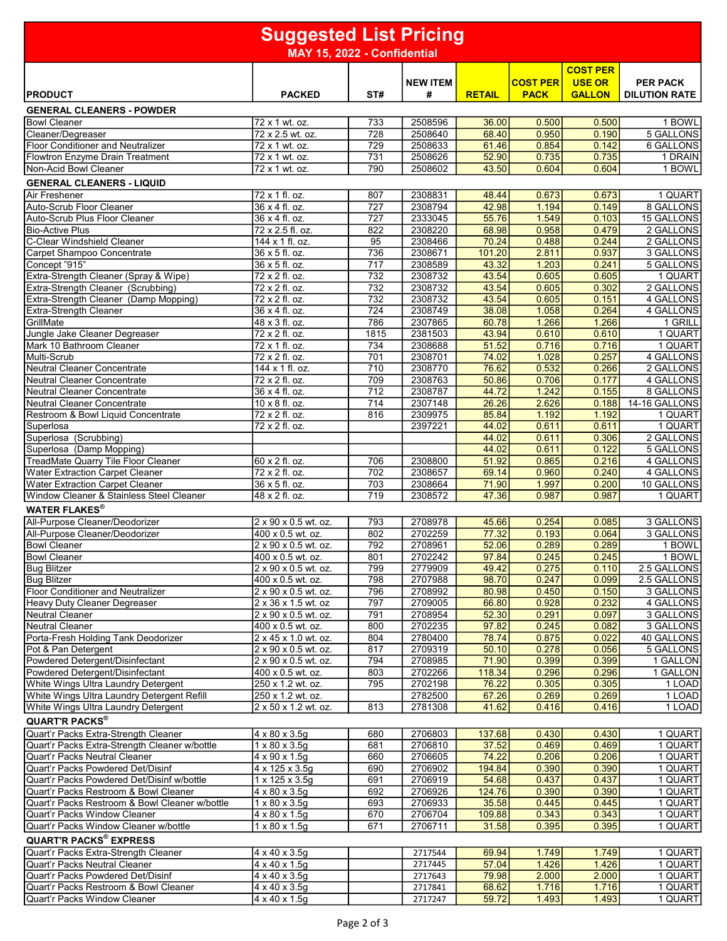| <b>Suggested List Pricing</b>                                                       |                                             |            |                      |                 |                                |                                |                                         |
|-------------------------------------------------------------------------------------|---------------------------------------------|------------|----------------------|-----------------|--------------------------------|--------------------------------|-----------------------------------------|
|                                                                                     | MAY 15, 2022 - Confidential                 |            |                      |                 |                                |                                |                                         |
|                                                                                     |                                             |            |                      |                 |                                | <b>COST PER</b>                |                                         |
| <b>PRODUCT</b>                                                                      | <b>PACKED</b>                               | ST#        | <b>NEW ITEM</b><br># | <b>RETAIL</b>   | <b>COST PER</b><br><b>PACK</b> | <b>USE OR</b><br><b>GALLON</b> | <b>PER PACK</b><br><b>DILUTION RATE</b> |
| <b>GENERAL CLEANERS - POWDER</b>                                                    |                                             |            |                      |                 |                                |                                |                                         |
| <b>Bowl Cleaner</b>                                                                 | 72 x 1 wt. oz.                              | 733        | 2508596              | 36.00           | 0.500                          | 0.500                          | 1 BOWL                                  |
| Cleaner/Degreaser                                                                   | 72 x 2.5 wt. oz.                            | 728        | 2508640              | 68.40           | 0.950                          | 0.190                          | 5 GALLONS                               |
| <b>Floor Conditioner and Neutralizer</b>                                            | 72 x 1 wt. oz.                              | 729        | 2508633              | 61.46           | 0.854                          | 0.142                          | <b>6 GALLONS</b>                        |
| Flowtron Enzyme Drain Treatment                                                     | 72 x 1 wt. oz.                              | 731        | 2508626              | 52.90           | 0.735                          | 0.735                          | 1 DRAIN                                 |
| Non-Acid Bowl Cleaner                                                               | 72 x 1 wt. oz.                              | 790        | 2508602              | 43.50           | 0.604                          | 0.604                          | 1 BOWL                                  |
| <b>GENERAL CLEANERS - LIQUID</b>                                                    |                                             |            |                      |                 |                                |                                |                                         |
| <b>Air Freshener</b>                                                                | 72 x 1 fl. oz.                              | 807        | 2308831              | 48.44           | 0.673                          | 0.673                          | 1 QUART                                 |
| Auto-Scrub Floor Cleaner<br>Auto-Scrub Plus Floor Cleaner                           | 36 x 4 fl. oz.<br>36 x 4 fl. oz.            | 727<br>727 | 2308794<br>2333045   | 42.98<br>55.76  | 1.194<br>1.549                 | 0.149<br>0.103                 | 8 GALLONS<br><b>15 GALLONS</b>          |
| <b>Bio-Active Plus</b>                                                              | 72 x 2.5 fl. oz.                            | 822        | 2308220              | 68.98           | 0.958                          | 0.479                          | 2 GALLONS                               |
| C-Clear Windshield Cleaner                                                          | 144 x 1 fl. oz.                             | 95         | 2308466              | 70.24           | 0.488                          | 0.244                          | 2 GALLONS                               |
| Carpet Shampoo Concentrate                                                          | 36 x 5 fl. oz.                              | 736        | 2308671              | 101.20          | 2.811                          | 0.937                          | 3 GALLONS                               |
| Concept "915"                                                                       | 36 x 5 fl. oz.                              | 717        | 2308589              | 43.32           | 1.203                          | 0.241                          | 5 GALLONS                               |
| Extra-Strength Cleaner (Spray & Wipe)                                               | 72 x 2 fl. oz.                              | 732        | 2308732              | 43.54           | 0.605                          | 0.605                          | 1 QUART                                 |
| Extra-Strength Cleaner (Scrubbing)<br>Extra-Strength Cleaner (Damp Mopping)         | 72 x 2 fl. oz.<br>72 x 2 fl. oz.            | 732<br>732 | 2308732<br>2308732   | 43.54<br>43.54  | 0.605<br>0.605                 | 0.302<br>0.151                 | 2 GALLONS<br>4 GALLONS                  |
| <b>Extra-Strength Cleaner</b>                                                       | 36 x 4 fl. oz.                              | 724        | 2308749              | 38.08           | 1.058                          | 0.264                          | 4 GALLONS                               |
| GrillMate                                                                           | 48 x 3 fl. oz.                              | 786        | 2307865              | 60.78           | 1.266                          | 1.266                          | 1 GRILL                                 |
| Jungle Jake Cleaner Degreaser                                                       | $\overline{72}$ x 2 fl. oz.                 | 1815       | 2381503              | 43.94           | 0.610                          | 0.610                          | 1 QUART                                 |
| Mark 10 Bathroom Cleaner                                                            | 72 x 1 fl. oz.                              | 734        | 2308688              | 51.52           | 0.716                          | 0.716                          | 1 QUART                                 |
| Multi-Scrub                                                                         | 72 x 2 fl. oz.                              | 701        | 2308701              | 74.02           | 1.028                          | 0.257                          | 4 GALLONS                               |
| <b>Neutral Cleaner Concentrate</b>                                                  | 144 x 1 fl. oz.                             | 710        | 2308770              | 76.62           | 0.532                          | 0.266                          | 2 GALLONS                               |
| <b>Neutral Cleaner Concentrate</b><br><b>Neutral Cleaner Concentrate</b>            | 72 x 2 fl. oz.<br>36 x 4 fl. oz.            | 709<br>712 | 2308763<br>2308787   | 50.86<br>44.72  | 0.706<br>1.242                 | 0.177<br>0.155                 | 4 GALLONS<br>8 GALLONS                  |
| <b>Neutral Cleaner Concentrate</b>                                                  | 10 x 8 fl. oz.                              | 714        | 2307148              | 26.26           | 2.626                          | 0.188                          | 14-16 GALLONS                           |
| Restroom & Bowl Liquid Concentrate                                                  | 72 x 2 fl. oz.                              | 816        | 2309975              | 85.84           | 1.192                          | 1.192                          | 1 QUART                                 |
| Superlosa                                                                           | 72 x 2 fl. oz.                              |            | 2397221              | 44.02           | 0.611                          | 0.611                          | 1 QUART                                 |
| Superlosa (Scrubbing)                                                               |                                             |            |                      | 44.02           | 0.611                          | 0.306                          | 2 GALLONS                               |
| Superlosa (Damp Mopping)                                                            |                                             |            |                      | 44.02           | 0.611                          | 0.122                          | 5 GALLONS                               |
| TreadMate Quarry Tile Floor Cleaner                                                 | 60 x 2 fl. oz.                              | 706        | 2308800              | 51.92           | 0.865                          | 0.216                          | 4 GALLONS                               |
| Water Extraction Carpet Cleaner<br><b>Water Extraction Carpet Cleaner</b>           | 72 x 2 fl. oz.<br>36 x 5 fl. oz.            | 702<br>703 | 2308657<br>2308664   | 69.14<br>71.90  | 0.960<br>1.997                 | 0.240<br>0.200                 | 4 GALLONS<br>10 GALLONS                 |
| Window Cleaner & Stainless Steel Cleaner                                            | 48 x 2 fl. oz.                              | 719        | 2308572              | 47.36           | 0.987                          | 0.987                          | 1 QUART                                 |
| <b>WATER FLAKES®</b>                                                                |                                             |            |                      |                 |                                |                                |                                         |
| All-Purpose Cleaner/Deodorizer                                                      | 2 x 90 x 0.5 wt. oz.                        | 793        | 2708978              | 45.66           | 0.254                          | 0.085                          | 3 GALLONS                               |
| All-Purpose Cleaner/Deodorizer                                                      | 400 x 0.5 wt. oz.                           | 802        | 2702259              | 77.32           | 0.193                          | 0.064                          | 3 GALLONS                               |
| <b>Bowl Cleaner</b>                                                                 | 2 x 90 x 0.5 wt. oz.                        | 792        | 2708961              | 52.06           | 0.289                          | 0.289                          | 1 BOWL                                  |
| <b>Bowl Cleaner</b>                                                                 | 400 x 0.5 wt. oz.                           | 801        | 2702242              | 97.84           | 0.245                          | 0.245                          | 1 BOWL                                  |
| <b>Bug Blitzer</b>                                                                  | $2 \times 90 \times 0.5$ wt. oz.            | 799        | 2779909              | 49.42           | 0.275                          | 0.110                          | 2.5 GALLONS                             |
| <b>Bug Blitzer</b><br><b>Floor Conditioner and Neutralizer</b>                      | 400 x 0.5 wt. oz.                           | 798<br>796 | 2707988<br>2708992   | 98.70<br>80.98  | 0.247<br>0.450                 | 0.099<br>0.150                 | 2.5 GALLONS<br>3 GALLONS                |
| <b>Heavy Duty Cleaner Degreaser</b>                                                 | 2 x 90 x 0.5 wt. oz.<br>2 x 36 x 1.5 wt. oz | 797        | 2709005              | 66.80           | 0.928                          | 0.232                          | 4 GALLONS                               |
| <b>Neutral Cleaner</b>                                                              | 2 x 90 x 0.5 wt. oz.                        | 791        | 2708954              | 52.30           | 0.291                          | 0.097                          | 3 GALLONS                               |
| <b>Neutral Cleaner</b>                                                              | 400 x 0.5 wt. oz.                           | 800        | 2702235              | 97.82           | 0.245                          | 0.082                          | 3 GALLONS                               |
| Porta-Fresh Holding Tank Deodorizer                                                 | 2 x 45 x 1.0 wt. oz.                        | 804        | 2780400              | 78.74           | 0.875                          | 0.022                          | 40 GALLONS                              |
| Pot & Pan Detergent                                                                 | 2 x 90 x 0.5 wt. oz.                        | 817        | 2709319              | 50.10           | 0.278                          | 0.056                          | 5 GALLONS                               |
| Powdered Detergent/Disinfectant<br>Powdered Detergent/Disinfectant                  | 2 x 90 x 0.5 wt. oz.                        | 794<br>803 | 2708985              | 71.90<br>118.34 | 0.399                          | 0.399                          | 1 GALLON<br>1 GALLON                    |
| White Wings Ultra Laundry Detergent                                                 | 400 x 0.5 wt. oz.<br>250 x 1.2 wt. oz.      | 795        | 2702266<br>2702198   | 76.22           | 0.296<br>0.305                 | 0.296<br>0.305                 | 1 LOAD                                  |
| White Wings Ultra Laundry Detergent Refill                                          | 250 x 1.2 wt. oz.                           |            | 2782500              | 67.26           | 0.269                          | 0.269                          | 1 LOAD                                  |
| White Wings Ultra Laundry Detergent                                                 | 2 x 50 x 1.2 wt. oz.                        | 813        | 2781308              | 41.62           | 0.416                          | 0.416                          | 1 LOAD                                  |
| <b>QUART'R PACKS®</b>                                                               |                                             |            |                      |                 |                                |                                |                                         |
| Quart'r Packs Extra-Strength Cleaner                                                | $4 \times 80 \times 3.5$ g                  | 680        | 2706803              | 137.68          | 0.430                          | 0.430                          | 1 QUART                                 |
| Quart'r Packs Extra-Strength Cleaner w/bottle                                       | $1 \times 80 \times 3.5g$                   | 681        | 2706810              | 37.52           | 0.469                          | 0.469                          | 1 QUART                                 |
| Quart'r Packs Neutral Cleaner                                                       | 4 x 90 x 1.5g                               | 660        | 2706605              | 74.22           | 0.206                          | 0.206                          | 1 QUART                                 |
| Quart'r Packs Powdered Det/Disinf                                                   | 4 x 125 x 3.5g                              | 690        | 2706902              | 194.84          | 0.390                          | 0.390                          | 1 QUART                                 |
| Quart'r Packs Powdered Det/Disinf w/bottle<br>Quart'r Packs Restroom & Bowl Cleaner | 1 x 125 x 3.5g<br>4 x 80 x 3.5g             | 691<br>692 | 2706919<br>2706926   | 54.68<br>124.76 | 0.437<br>0.390                 | 0.437<br>0.390                 | 1 QUART<br>1 QUART                      |
| Quart'r Packs Restroom & Bowl Cleaner w/bottle                                      | $1 \times 80 \times 3.5g$                   | 693        | 2706933              | 35.58           | 0.445                          | 0.445                          | 1 QUART                                 |
| Quart'r Packs Window Cleaner                                                        | 4 x 80 x 1.5g                               | 670        | 2706704              | 109.88          | 0.343                          | 0.343                          | 1 QUART                                 |
| Quart'r Packs Window Cleaner w/bottle                                               | $1 \times 80 \times 1.5g$                   | 671        | 2706711              | 31.58           | 0.395                          | 0.395                          | 1 QUART                                 |
| <b>QUART'R PACKS® EXPRESS</b>                                                       |                                             |            |                      |                 |                                |                                |                                         |
| Quart'r Packs Extra-Strength Cleaner                                                | $4 \times 40 \times 3.59$                   |            | 2717544              | 69.94           | 1.749                          | 1.749                          | 1 QUART                                 |
| Quart'r Packs Neutral Cleaner                                                       | $4 \times 40 \times 1.5$ g                  |            | 2717445              | 57.04           | 1.426                          | 1.426                          | 1 QUART                                 |
| Quart'r Packs Powdered Det/Disinf                                                   | 4 x 40 x 3.5g                               |            | 2717643              | 79.98           | 2.000                          | 2.000                          | 1 QUART                                 |
| Quart'r Packs Restroom & Bowl Cleaner                                               | $4 \times 40 \times 3.5$ g                  |            | 2717841              | 68.62           | 1.716                          | 1.716                          | 1 QUART                                 |
| Quart'r Packs Window Cleaner                                                        | 4 x 40 x 1.5g                               |            | 2717247              | 59.72           | 1.493                          | 1.493                          | 1 QUART                                 |